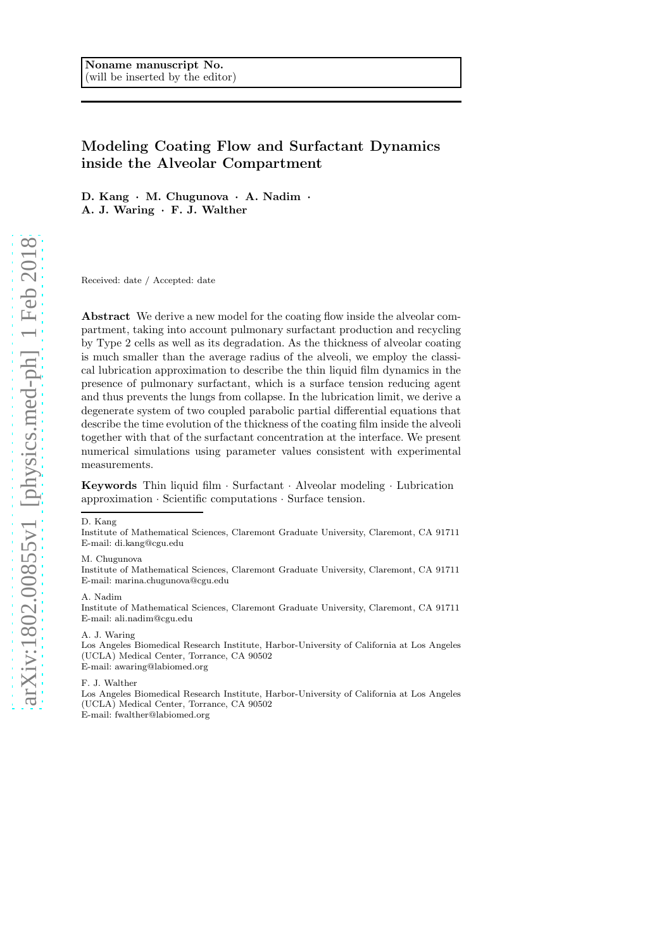# Modeling Coating Flow and Surfactant Dynamics inside the Alveolar Compartment

D. Kang · M. Chugunova · A. Nadim · A. J. Waring · F. J. Walther

Received: date / Accepted: date

Abstract We derive a new model for the coating flow inside the alveolar compartment, taking into account pulmonary surfactant production and recycling by Type 2 cells as well as its degradation. As the thickness of alveolar coating is much smaller than the average radius of the alveoli, we employ the classical lubrication approximation to describe the thin liquid film dynamics in the presence of pulmonary surfactant, which is a surface tension reducing agent and thus prevents the lungs from collapse. In the lubrication limit, we derive a degenerate system of two coupled parabolic partial differential equations that describe the time evolution of the thickness of the coating film inside the alveoli together with that of the surfactant concentration at the interface. We present numerical simulations using parameter values consistent with experimental measurements.

Keywords Thin liquid film · Surfactant · Alveolar modeling · Lubrication approximation · Scientific computations · Surface tension.

#### D. Kang

Institute of Mathematical Sciences, Claremont Graduate University, Claremont, CA 91711 E-mail: di.kang@cgu.edu

### M. Chugunova

Institute of Mathematical Sciences, Claremont Graduate University, Claremont, CA 91711 E-mail: marina.chugunova@cgu.edu

### A. Nadim

Institute of Mathematical Sciences, Claremont Graduate University, Claremont, CA 91711 E-mail: ali.nadim@cgu.edu

### A. J. Waring

Los Angeles Biomedical Research Institute, Harbor-University of California at Los Angeles (UCLA) Medical Center, Torrance, CA 90502 E-mail: awaring@labiomed.org

F. J. Walther

Los Angeles Biomedical Research Institute, Harbor-University of California at Los Angeles (UCLA) Medical Center, Torrance, CA 90502 E-mail: fwalther@labiomed.org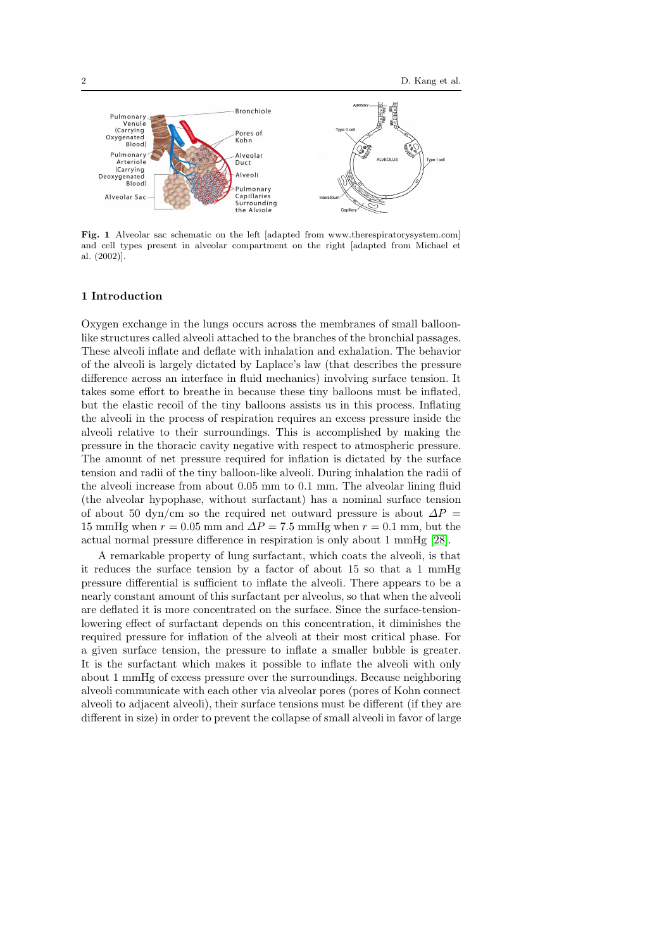

Fig. 1 Alveolar sac schematic on the left [adapted from www.therespiratorysystem.com] and cell types present in alveolar compartment on the right [adapted from Michael et al. (2002)].

### <span id="page-1-0"></span>1 Introduction

Oxygen exchange in the lungs occurs across the membranes of small balloonlike structures called alveoli attached to the branches of the bronchial passages. These alveoli inflate and deflate with inhalation and exhalation. The behavior of the alveoli is largely dictated by Laplace's law (that describes the pressure difference across an interface in fluid mechanics) involving surface tension. It takes some effort to breathe in because these tiny balloons must be inflated, but the elastic recoil of the tiny balloons assists us in this process. Inflating the alveoli in the process of respiration requires an excess pressure inside the alveoli relative to their surroundings. This is accomplished by making the pressure in the thoracic cavity negative with respect to atmospheric pressure. The amount of net pressure required for inflation is dictated by the surface tension and radii of the tiny balloon-like alveoli. During inhalation the radii of the alveoli increase from about 0.05 mm to 0.1 mm. The alveolar lining fluid (the alveolar hypophase, without surfactant) has a nominal surface tension of about 50 dyn/cm so the required net outward pressure is about  $\Delta P =$ 15 mmHg when  $r = 0.05$  mm and  $\Delta P = 7.5$  mmHg when  $r = 0.1$  mm, but the actual normal pressure difference in respiration is only about 1 mmHg [\[28\]](#page-23-0).

A remarkable property of lung surfactant, which coats the alveoli, is that it reduces the surface tension by a factor of about 15 so that a 1 mmHg pressure differential is sufficient to inflate the alveoli. There appears to be a nearly constant amount of this surfactant per alveolus, so that when the alveoli are deflated it is more concentrated on the surface. Since the surface-tensionlowering effect of surfactant depends on this concentration, it diminishes the required pressure for inflation of the alveoli at their most critical phase. For a given surface tension, the pressure to inflate a smaller bubble is greater. It is the surfactant which makes it possible to inflate the alveoli with only about 1 mmHg of excess pressure over the surroundings. Because neighboring alveoli communicate with each other via alveolar pores (pores of Kohn connect alveoli to adjacent alveoli), their surface tensions must be different (if they are different in size) in order to prevent the collapse of small alveoli in favor of large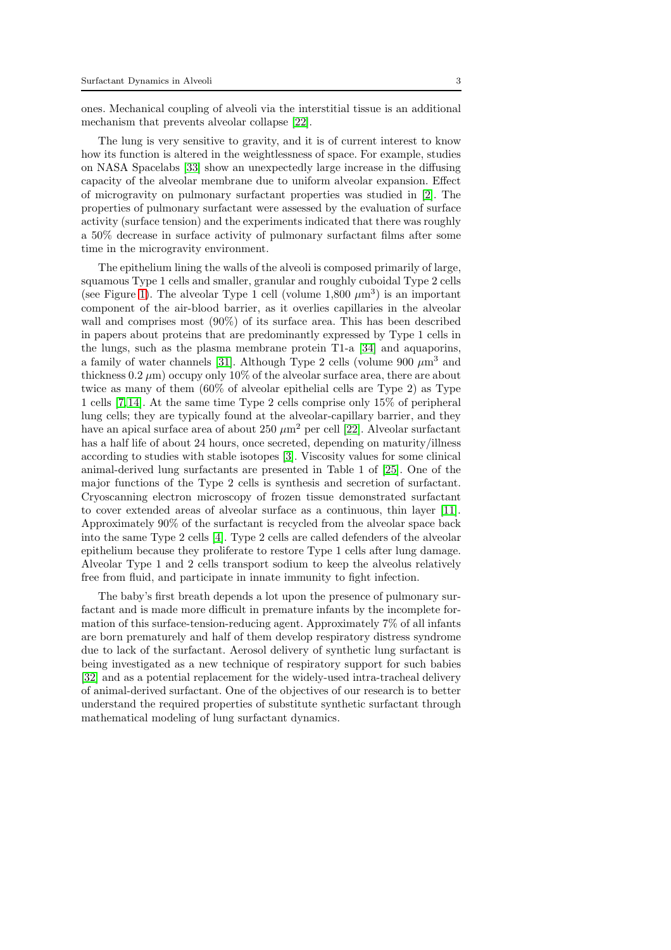ones. Mechanical coupling of alveoli via the interstitial tissue is an additional mechanism that prevents alveolar collapse [\[22\]](#page-23-1).

The lung is very sensitive to gravity, and it is of current interest to know how its function is altered in the weightlessness of space. For example, studies on NASA Spacelabs [\[33\]](#page-23-2) show an unexpectedly large increase in the diffusing capacity of the alveolar membrane due to uniform alveolar expansion. Effect of microgravity on pulmonary surfactant properties was studied in [\[2\]](#page-22-0). The properties of pulmonary surfactant were assessed by the evaluation of surface activity (surface tension) and the experiments indicated that there was roughly a 50% decrease in surface activity of pulmonary surfactant films after some time in the microgravity environment.

The epithelium lining the walls of the alveoli is composed primarily of large, squamous Type 1 cells and smaller, granular and roughly cuboidal Type 2 cells (see Figure [1\)](#page-1-0). The alveolar Type 1 cell (volume  $1,800 \ \mu m^3$ ) is an important component of the air-blood barrier, as it overlies capillaries in the alveolar wall and comprises most (90%) of its surface area. This has been described in papers about proteins that are predominantly expressed by Type 1 cells in the lungs, such as the plasma membrane protein T1-a [\[34\]](#page-24-0) and aquaporins, a family of water channels [\[31\]](#page-23-3). Although Type 2 cells (volume 900  $\mu$ m<sup>3</sup> and thickness  $0.2 \mu m$ ) occupy only  $10\%$  of the alveolar surface area, there are about twice as many of them (60% of alveolar epithelial cells are Type 2) as Type 1 cells [\[7,](#page-22-1)[14\]](#page-23-4). At the same time Type 2 cells comprise only 15% of peripheral lung cells; they are typically found at the alveolar-capillary barrier, and they have an apical surface area of about 250  $\mu$ m<sup>2</sup> per cell [\[22\]](#page-23-1). Alveolar surfactant has a half life of about 24 hours, once secreted, depending on maturity/illness according to studies with stable isotopes [\[3\]](#page-22-2). Viscosity values for some clinical animal-derived lung surfactants are presented in Table 1 of [\[25\]](#page-23-5). One of the major functions of the Type 2 cells is synthesis and secretion of surfactant. Cryoscanning electron microscopy of frozen tissue demonstrated surfactant to cover extended areas of alveolar surface as a continuous, thin layer [\[11\]](#page-23-6). Approximately 90% of the surfactant is recycled from the alveolar space back into the same Type 2 cells [\[4\]](#page-22-3). Type 2 cells are called defenders of the alveolar epithelium because they proliferate to restore Type 1 cells after lung damage. Alveolar Type 1 and 2 cells transport sodium to keep the alveolus relatively free from fluid, and participate in innate immunity to fight infection.

The baby's first breath depends a lot upon the presence of pulmonary surfactant and is made more difficult in premature infants by the incomplete formation of this surface-tension-reducing agent. Approximately 7% of all infants are born prematurely and half of them develop respiratory distress syndrome due to lack of the surfactant. Aerosol delivery of synthetic lung surfactant is being investigated as a new technique of respiratory support for such babies [\[32\]](#page-23-7) and as a potential replacement for the widely-used intra-tracheal delivery of animal-derived surfactant. One of the objectives of our research is to better understand the required properties of substitute synthetic surfactant through mathematical modeling of lung surfactant dynamics.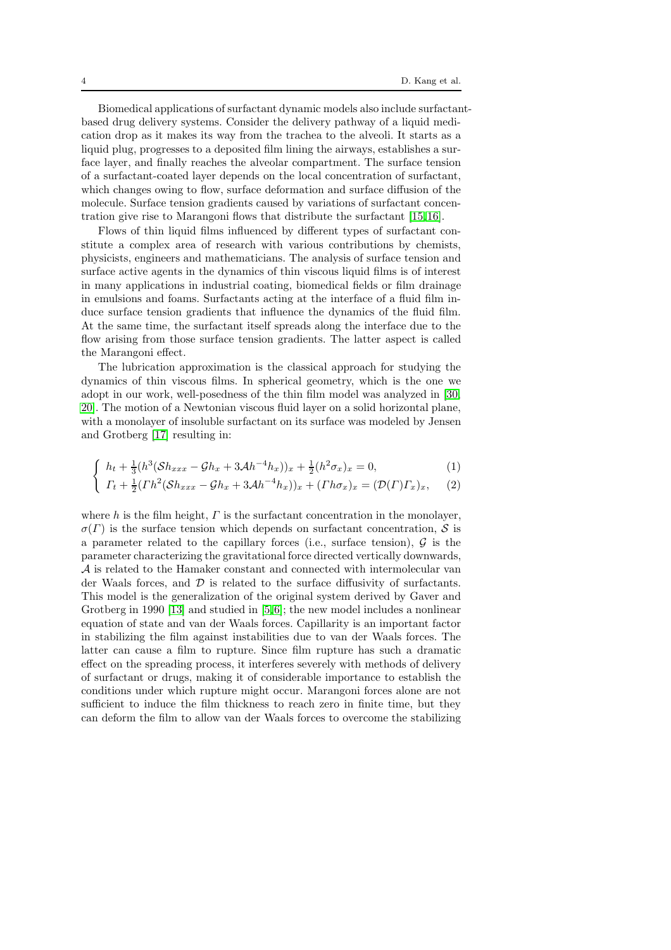Biomedical applications of surfactant dynamic models also include surfactantbased drug delivery systems. Consider the delivery pathway of a liquid medication drop as it makes its way from the trachea to the alveoli. It starts as a liquid plug, progresses to a deposited film lining the airways, establishes a surface layer, and finally reaches the alveolar compartment. The surface tension of a surfactant-coated layer depends on the local concentration of surfactant, which changes owing to flow, surface deformation and surface diffusion of the molecule. Surface tension gradients caused by variations of surfactant concentration give rise to Marangoni flows that distribute the surfactant [\[15,](#page-23-8)[16\]](#page-23-9).

Flows of thin liquid films influenced by different types of surfactant constitute a complex area of research with various contributions by chemists, physicists, engineers and mathematicians. The analysis of surface tension and surface active agents in the dynamics of thin viscous liquid films is of interest in many applications in industrial coating, biomedical fields or film drainage in emulsions and foams. Surfactants acting at the interface of a fluid film induce surface tension gradients that influence the dynamics of the fluid film. At the same time, the surfactant itself spreads along the interface due to the flow arising from those surface tension gradients. The latter aspect is called the Marangoni effect.

The lubrication approximation is the classical approach for studying the dynamics of thin viscous films. In spherical geometry, which is the one we adopt in our work, well-posedness of the thin film model was analyzed in [\[30,](#page-23-10) [20\]](#page-23-11). The motion of a Newtonian viscous fluid layer on a solid horizontal plane, with a monolayer of insoluble surfactant on its surface was modeled by Jensen and Grotberg [\[17\]](#page-23-12) resulting in:

$$
\int h_t + \frac{1}{3} (h^3 (\mathcal{S} h_{xxx} - \mathcal{G} h_x + 3 \mathcal{A} h^{-4} h_x))_x + \frac{1}{2} (h^2 \sigma_x)_x = 0, \tag{1}
$$

$$
\int \Gamma_t + \frac{1}{2} (\Gamma h^2 (\mathcal{S} h_{xxx} - \mathcal{G} h_x + 3 \mathcal{A} h^{-4} h_x))_x + (\Gamma h \sigma_x)_x = (\mathcal{D}(\Gamma) \Gamma_x)_x, \quad (2)
$$

where h is the film height,  $\Gamma$  is the surfactant concentration in the monolayer,  $\sigma(\Gamma)$  is the surface tension which depends on surfactant concentration, S is a parameter related to the capillary forces (i.e., surface tension),  $\mathcal G$  is the parameter characterizing the gravitational force directed vertically downwards, A is related to the Hamaker constant and connected with intermolecular van der Waals forces, and  $\mathcal D$  is related to the surface diffusivity of surfactants. This model is the generalization of the original system derived by Gaver and Grotberg in 1990 [\[13\]](#page-23-13) and studied in [\[5,](#page-22-4)[6\]](#page-22-5); the new model includes a nonlinear equation of state and van der Waals forces. Capillarity is an important factor in stabilizing the film against instabilities due to van der Waals forces. The latter can cause a film to rupture. Since film rupture has such a dramatic effect on the spreading process, it interferes severely with methods of delivery of surfactant or drugs, making it of considerable importance to establish the conditions under which rupture might occur. Marangoni forces alone are not sufficient to induce the film thickness to reach zero in finite time, but they can deform the film to allow van der Waals forces to overcome the stabilizing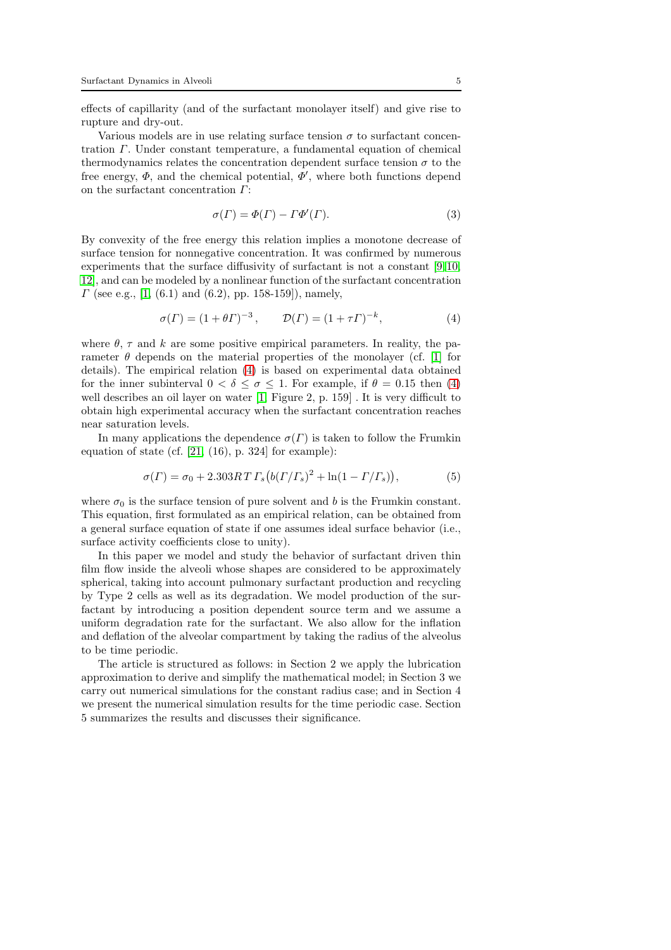effects of capillarity (and of the surfactant monolayer itself) and give rise to rupture and dry-out.

Various models are in use relating surface tension  $\sigma$  to surfactant concentration Γ. Under constant temperature, a fundamental equation of chemical thermodynamics relates the concentration dependent surface tension  $\sigma$  to the free energy,  $\Phi$ , and the chemical potential,  $\overline{\Phi}'$ , where both functions depend on the surfactant concentration Γ:

$$
\sigma(\Gamma) = \Phi(\Gamma) - \Gamma \Phi'(\Gamma). \tag{3}
$$

By convexity of the free energy this relation implies a monotone decrease of surface tension for nonnegative concentration. It was confirmed by numerous experiments that the surface diffusivity of surfactant is not a constant [\[9,](#page-23-14)[10,](#page-23-15) [12\]](#page-23-16), and can be modeled by a nonlinear function of the surfactant concentration  $\Gamma$  (see e.g., [\[1,](#page-22-6) (6.1) and (6.2), pp. 158-159]), namely,

<span id="page-4-0"></span>
$$
\sigma(\Gamma) = (1 + \theta \Gamma)^{-3}, \qquad \mathcal{D}(\Gamma) = (1 + \tau \Gamma)^{-k}, \tag{4}
$$

where  $\theta$ ,  $\tau$  and k are some positive empirical parameters. In reality, the parameter  $\theta$  depends on the material properties of the monolayer (cf. [\[1\]](#page-22-6) for details). The empirical relation [\(4\)](#page-4-0) is based on experimental data obtained for the inner subinterval  $0 < \delta \leq \sigma \leq 1$ . For example, if  $\theta = 0.15$  then [\(4\)](#page-4-0) well describes an oil layer on water [\[1,](#page-22-6) Figure 2, p. 159] . It is very difficult to obtain high experimental accuracy when the surfactant concentration reaches near saturation levels.

In many applications the dependence  $\sigma(\Gamma)$  is taken to follow the Frumkin equation of state (cf.  $[21, (16), p. 324]$  for example):

$$
\sigma(\Gamma) = \sigma_0 + 2.303RT \Gamma_s (b(\Gamma/\Gamma_s)^2 + \ln(1 - \Gamma/\Gamma_s)), \tag{5}
$$

where  $\sigma_0$  is the surface tension of pure solvent and b is the Frumkin constant. This equation, first formulated as an empirical relation, can be obtained from a general surface equation of state if one assumes ideal surface behavior (i.e., surface activity coefficients close to unity).

In this paper we model and study the behavior of surfactant driven thin film flow inside the alveoli whose shapes are considered to be approximately spherical, taking into account pulmonary surfactant production and recycling by Type 2 cells as well as its degradation. We model production of the surfactant by introducing a position dependent source term and we assume a uniform degradation rate for the surfactant. We also allow for the inflation and deflation of the alveolar compartment by taking the radius of the alveolus to be time periodic.

The article is structured as follows: in Section 2 we apply the lubrication approximation to derive and simplify the mathematical model; in Section 3 we carry out numerical simulations for the constant radius case; and in Section 4 we present the numerical simulation results for the time periodic case. Section 5 summarizes the results and discusses their significance.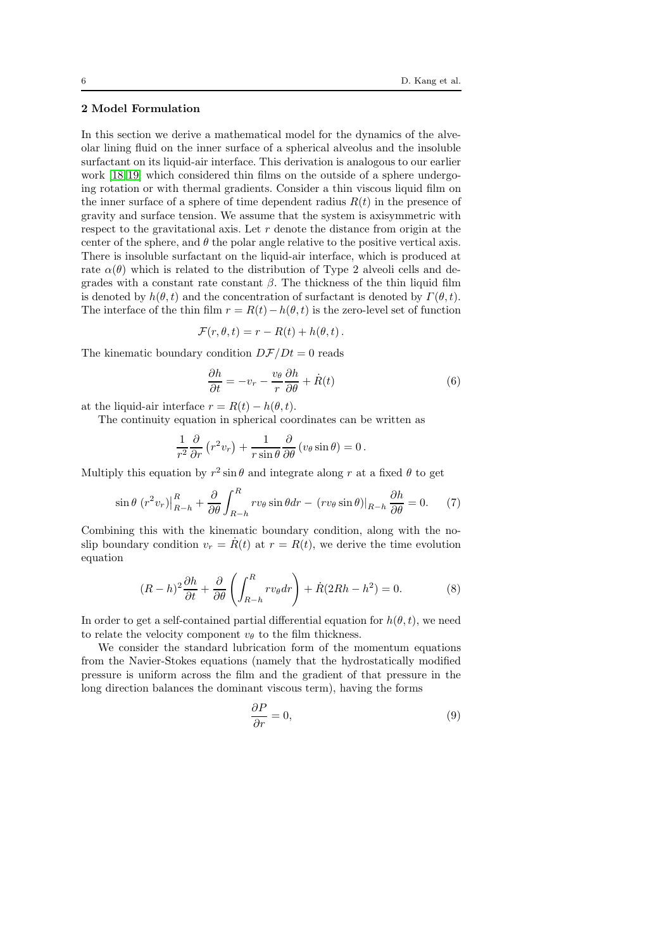# 2 Model Formulation

In this section we derive a mathematical model for the dynamics of the alveolar lining fluid on the inner surface of a spherical alveolus and the insoluble surfactant on its liquid-air interface. This derivation is analogous to our earlier work [\[18,](#page-23-18)[19\]](#page-23-19) which considered thin films on the outside of a sphere undergoing rotation or with thermal gradients. Consider a thin viscous liquid film on the inner surface of a sphere of time dependent radius  $R(t)$  in the presence of gravity and surface tension. We assume that the system is axisymmetric with respect to the gravitational axis. Let  $r$  denote the distance from origin at the center of the sphere, and  $\theta$  the polar angle relative to the positive vertical axis. There is insoluble surfactant on the liquid-air interface, which is produced at rate  $\alpha(\theta)$  which is related to the distribution of Type 2 alveoli cells and degrades with a constant rate constant  $\beta$ . The thickness of the thin liquid film is denoted by  $h(\theta, t)$  and the concentration of surfactant is denoted by  $\Gamma(\theta, t)$ . The interface of the thin film  $r = R(t) - h(\theta, t)$  is the zero-level set of function

$$
\mathcal{F}(r,\theta,t) = r - R(t) + h(\theta,t).
$$

The kinematic boundary condition  $D\mathcal{F}/Dt = 0$  reads

$$
\frac{\partial h}{\partial t} = -v_r - \frac{v_\theta}{r} \frac{\partial h}{\partial \theta} + \dot{R}(t) \tag{6}
$$

at the liquid-air interface  $r = R(t) - h(\theta, t)$ .

The continuity equation in spherical coordinates can be written as

$$
\frac{1}{r^2}\frac{\partial}{\partial r}\left(r^2v_r\right) + \frac{1}{r\sin\theta}\frac{\partial}{\partial \theta}\left(v_\theta\sin\theta\right) = 0.
$$

Multiply this equation by  $r^2 \sin \theta$  and integrate along r at a fixed  $\theta$  to get

$$
\sin\theta (r^2 v_r)\Big|_{R-h}^R + \frac{\partial}{\partial \theta} \int_{R-h}^R r v_\theta \sin\theta dr - (r v_\theta \sin\theta)\Big|_{R-h} \frac{\partial h}{\partial \theta} = 0. \tag{7}
$$

Combining this with the kinematic boundary condition, along with the noslip boundary condition  $v_r = R(t)$  at  $r = R(t)$ , we derive the time evolution equation

<span id="page-5-1"></span>
$$
(R-h)^2 \frac{\partial h}{\partial t} + \frac{\partial}{\partial \theta} \left( \int_{R-h}^R r v_{\theta} dr \right) + \dot{R} (2Rh - h^2) = 0. \tag{8}
$$

In order to get a self-contained partial differential equation for  $h(\theta, t)$ , we need to relate the velocity component  $v_{\theta}$  to the film thickness.

We consider the standard lubrication form of the momentum equations from the Navier-Stokes equations (namely that the hydrostatically modified pressure is uniform across the film and the gradient of that pressure in the long direction balances the dominant viscous term), having the forms

<span id="page-5-0"></span>
$$
\frac{\partial P}{\partial r} = 0,\t\t(9)
$$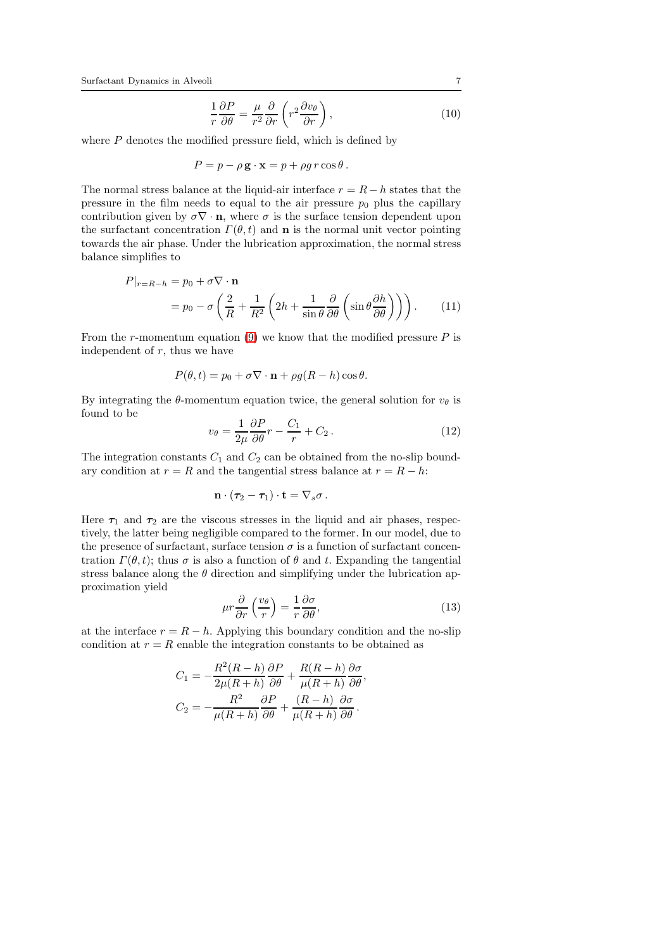$$
\frac{1}{r}\frac{\partial P}{\partial \theta} = \frac{\mu}{r^2}\frac{\partial}{\partial r}\left(r^2\frac{\partial v_\theta}{\partial r}\right),\tag{10}
$$

where  $P$  denotes the modified pressure field, which is defined by

$$
P = p - \rho \mathbf{g} \cdot \mathbf{x} = p + \rho g \, r \cos \theta \,.
$$

The normal stress balance at the liquid-air interface  $r = R - h$  states that the pressure in the film needs to equal to the air pressure  $p_0$  plus the capillary contribution given by  $\sigma \nabla \cdot \mathbf{n}$ , where  $\sigma$  is the surface tension dependent upon the surfactant concentration  $\Gamma(\theta, t)$  and **n** is the normal unit vector pointing towards the air phase. Under the lubrication approximation, the normal stress balance simplifies to

$$
P|_{r=R-h} = p_0 + \sigma \nabla \cdot \mathbf{n}
$$
  
=  $p_0 - \sigma \left( \frac{2}{R} + \frac{1}{R^2} \left( 2h + \frac{1}{\sin \theta} \frac{\partial}{\partial \theta} \left( \sin \theta \frac{\partial h}{\partial \theta} \right) \right) \right).$  (11)

From the *r*-momentum equation [\(9\)](#page-5-0) we know that the modified pressure  $P$  is independent of  $r$ , thus we have

$$
P(\theta, t) = p_0 + \sigma \nabla \cdot \mathbf{n} + \rho g(R - h) \cos \theta.
$$

By integrating the  $\theta$ -momentum equation twice, the general solution for  $v_{\theta}$  is found to be

$$
v_{\theta} = \frac{1}{2\mu} \frac{\partial P}{\partial \theta} r - \frac{C_1}{r} + C_2.
$$
 (12)

The integration constants  $C_1$  and  $C_2$  can be obtained from the no-slip boundary condition at  $r = R$  and the tangential stress balance at  $r = R - h$ :

$$
\mathbf{n}\cdot(\boldsymbol{\tau}_2-\boldsymbol{\tau}_1)\cdot\mathbf{t}=\nabla_s\sigma.
$$

Here  $\tau_1$  and  $\tau_2$  are the viscous stresses in the liquid and air phases, respectively, the latter being negligible compared to the former. In our model, due to the presence of surfactant, surface tension  $\sigma$  is a function of surfactant concentration  $\Gamma(\theta, t)$ ; thus  $\sigma$  is also a function of  $\theta$  and t. Expanding the tangential stress balance along the  $\theta$  direction and simplifying under the lubrication approximation yield

$$
\mu r \frac{\partial}{\partial r} \left( \frac{v_{\theta}}{r} \right) = \frac{1}{r} \frac{\partial \sigma}{\partial \theta},\tag{13}
$$

at the interface  $r = R - h$ . Applying this boundary condition and the no-slip condition at  $r = R$  enable the integration constants to be obtained as

$$
C_1 = -\frac{R^2(R-h)}{2\mu(R+h)}\frac{\partial P}{\partial \theta} + \frac{R(R-h)}{\mu(R+h)}\frac{\partial \sigma}{\partial \theta},
$$
  

$$
C_2 = -\frac{R^2}{\mu(R+h)}\frac{\partial P}{\partial \theta} + \frac{(R-h)}{\mu(R+h)}\frac{\partial \sigma}{\partial \theta}.
$$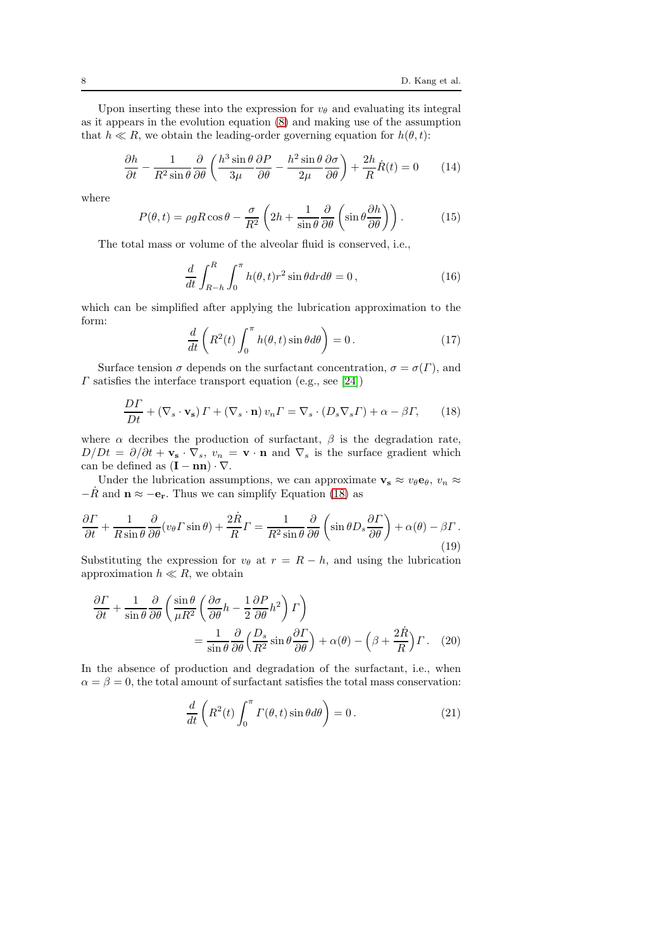Upon inserting these into the expression for  $v_{\theta}$  and evaluating its integral as it appears in the evolution equation [\(8\)](#page-5-1) and making use of the assumption that  $h \ll R$ , we obtain the leading-order governing equation for  $h(\theta, t)$ :

<span id="page-7-1"></span>
$$
\frac{\partial h}{\partial t} - \frac{1}{R^2 \sin \theta} \frac{\partial}{\partial \theta} \left( \frac{h^3 \sin \theta}{3\mu} \frac{\partial P}{\partial \theta} - \frac{h^2 \sin \theta}{2\mu} \frac{\partial \sigma}{\partial \theta} \right) + \frac{2h}{R} \dot{R}(t) = 0 \tag{14}
$$

where

$$
P(\theta, t) = \rho g R \cos \theta - \frac{\sigma}{R^2} \left( 2h + \frac{1}{\sin \theta} \frac{\partial}{\partial \theta} \left( \sin \theta \frac{\partial h}{\partial \theta} \right) \right).
$$
 (15)

The total mass or volume of the alveolar fluid is conserved, i.e.,

$$
\frac{d}{dt} \int_{R-h}^{R} \int_{0}^{\pi} h(\theta, t) r^{2} \sin \theta dr d\theta = 0, \qquad (16)
$$

which can be simplified after applying the lubrication approximation to the form:

<span id="page-7-3"></span>
$$
\frac{d}{dt}\left(R^2(t)\int_0^\pi h(\theta,t)\sin\theta d\theta\right) = 0.
$$
\n(17)

Surface tension  $\sigma$  depends on the surfactant concentration,  $\sigma = \sigma(\Gamma)$ , and  $\Gamma$  satisfies the interface transport equation (e.g., see [\[24\]](#page-23-20))

<span id="page-7-0"></span>
$$
\frac{D\Gamma}{Dt} + (\nabla_s \cdot \mathbf{v}_s) \Gamma + (\nabla_s \cdot \mathbf{n}) \, v_n \Gamma = \nabla_s \cdot (D_s \nabla_s \Gamma) + \alpha - \beta \Gamma,\qquad(18)
$$

where  $\alpha$  decribes the production of surfactant,  $\beta$  is the degradation rate,  $D/Dt = \partial/\partial t + \mathbf{v_s} \cdot \nabla_s$ ,  $v_n = \mathbf{v} \cdot \mathbf{n}$  and  $\nabla_s$  is the surface gradient which can be defined as  $(I - nn) \cdot \nabla$ .

Under the lubrication assumptions, we can approximate  $\mathbf{v}_s \approx v_\theta \mathbf{e}_\theta, v_n \approx v_\theta \mathbf{e}_\theta$  $-\dot{R}$  and  $\mathbf{n} \approx -\mathbf{e_r}$ . Thus we can simplify Equation [\(18\)](#page-7-0) as

$$
\frac{\partial \Gamma}{\partial t} + \frac{1}{R \sin \theta} \frac{\partial}{\partial \theta} (v_{\theta} \Gamma \sin \theta) + \frac{2\dot{R}}{R} \Gamma = \frac{1}{R^2 \sin \theta} \frac{\partial}{\partial \theta} \left( \sin \theta D_s \frac{\partial \Gamma}{\partial \theta} \right) + \alpha(\theta) - \beta \Gamma. \tag{19}
$$

Substituting the expression for  $v_{\theta}$  at  $r = R - h$ , and using the lubrication approximation  $h \ll R$ , we obtain

$$
\frac{\partial \Gamma}{\partial t} + \frac{1}{\sin \theta} \frac{\partial}{\partial \theta} \left( \frac{\sin \theta}{\mu R^2} \left( \frac{\partial \sigma}{\partial \theta} h - \frac{1}{2} \frac{\partial P}{\partial \theta} h^2 \right) \Gamma \right) \n= \frac{1}{\sin \theta} \frac{\partial}{\partial \theta} \left( \frac{D_s}{R^2} \sin \theta \frac{\partial \Gamma}{\partial \theta} \right) + \alpha(\theta) - \left( \beta + \frac{2\dot{R}}{R} \right) \Gamma. \tag{20}
$$

In the absence of production and degradation of the surfactant, i.e., when  $\alpha = \beta = 0$ , the total amount of surfactant satisfies the total mass conservation:

<span id="page-7-2"></span>
$$
\frac{d}{dt}\left(R^2(t)\int_0^\pi \Gamma(\theta, t)\sin\theta d\theta\right) = 0.
$$
\n(21)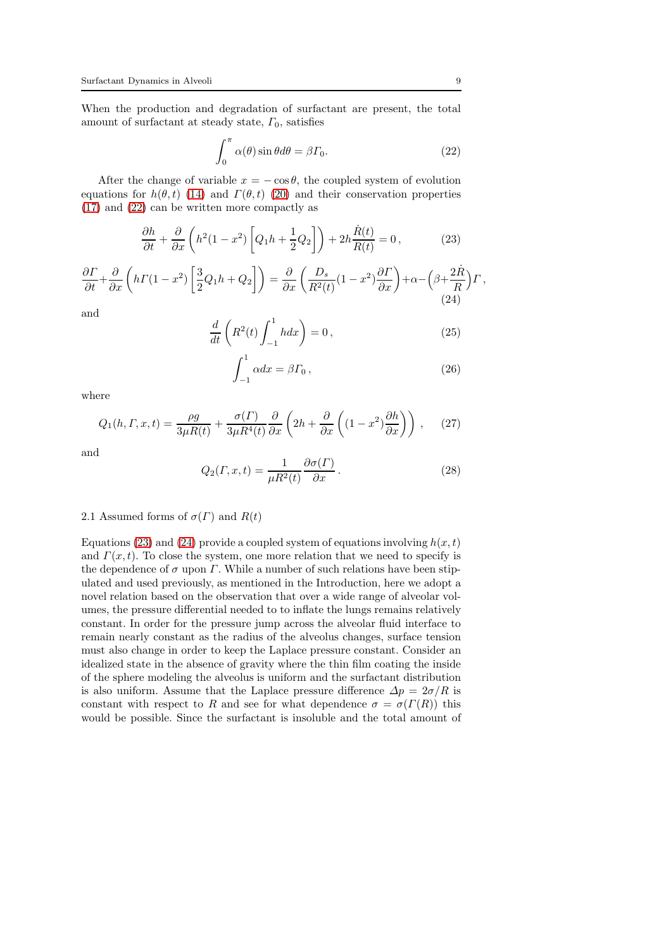When the production and degradation of surfactant are present, the total amount of surfactant at steady state,  $\Gamma_0$ , satisfies

<span id="page-8-0"></span>
$$
\int_0^\pi \alpha(\theta) \sin \theta d\theta = \beta \Gamma_0.
$$
 (22)

After the change of variable  $x = -\cos\theta$ , the coupled system of evolution equations for  $h(\theta, t)$  [\(14\)](#page-7-1) and  $\Gamma(\theta, t)$  [\(20\)](#page-7-2) and their conservation properties [\(17\)](#page-7-3) and [\(22\)](#page-8-0) can be written more compactly as

<span id="page-8-1"></span>
$$
\frac{\partial h}{\partial t} + \frac{\partial}{\partial x} \left( h^2 (1 - x^2) \left[ Q_1 h + \frac{1}{2} Q_2 \right] \right) + 2h \frac{\dot{R}(t)}{R(t)} = 0, \tag{23}
$$

<span id="page-8-2"></span>
$$
\frac{\partial \Gamma}{\partial t} + \frac{\partial}{\partial x} \left( h \Gamma(1 - x^2) \left[ \frac{3}{2} Q_1 h + Q_2 \right] \right) = \frac{\partial}{\partial x} \left( \frac{D_s}{R^2(t)} (1 - x^2) \frac{\partial \Gamma}{\partial x} \right) + \alpha - \left( \beta + \frac{2R}{R} \right) \Gamma \,, \tag{24}
$$

and

$$
\frac{d}{dt}\left(R^2(t)\int_{-1}^1 hdx\right) = 0,
$$
\n(25)

$$
\int_{-1}^{1} \alpha dx = \beta \Gamma_0, \qquad (26)
$$

where

$$
Q_1(h, \Gamma, x, t) = \frac{\rho g}{3\mu R(t)} + \frac{\sigma(\Gamma)}{3\mu R^4(t)} \frac{\partial}{\partial x} \left(2h + \frac{\partial}{\partial x} \left( (1 - x^2) \frac{\partial h}{\partial x} \right) \right), \quad (27)
$$

and

$$
Q_2(\Gamma, x, t) = \frac{1}{\mu R^2(t)} \frac{\partial \sigma(\Gamma)}{\partial x}.
$$
 (28)

# <span id="page-8-3"></span>2.1 Assumed forms of  $\sigma(\Gamma)$  and  $R(t)$

Equations [\(23\)](#page-8-1) and [\(24\)](#page-8-2) provide a coupled system of equations involving  $h(x, t)$ and  $\Gamma(x, t)$ . To close the system, one more relation that we need to specify is the dependence of  $\sigma$  upon  $\Gamma$ . While a number of such relations have been stipulated and used previously, as mentioned in the Introduction, here we adopt a novel relation based on the observation that over a wide range of alveolar volumes, the pressure differential needed to to inflate the lungs remains relatively constant. In order for the pressure jump across the alveolar fluid interface to remain nearly constant as the radius of the alveolus changes, surface tension must also change in order to keep the Laplace pressure constant. Consider an idealized state in the absence of gravity where the thin film coating the inside of the sphere modeling the alveolus is uniform and the surfactant distribution is also uniform. Assume that the Laplace pressure difference  $\Delta p = 2\sigma/R$  is constant with respect to R and see for what dependence  $\sigma = \sigma(\Gamma(R))$  this would be possible. Since the surfactant is insoluble and the total amount of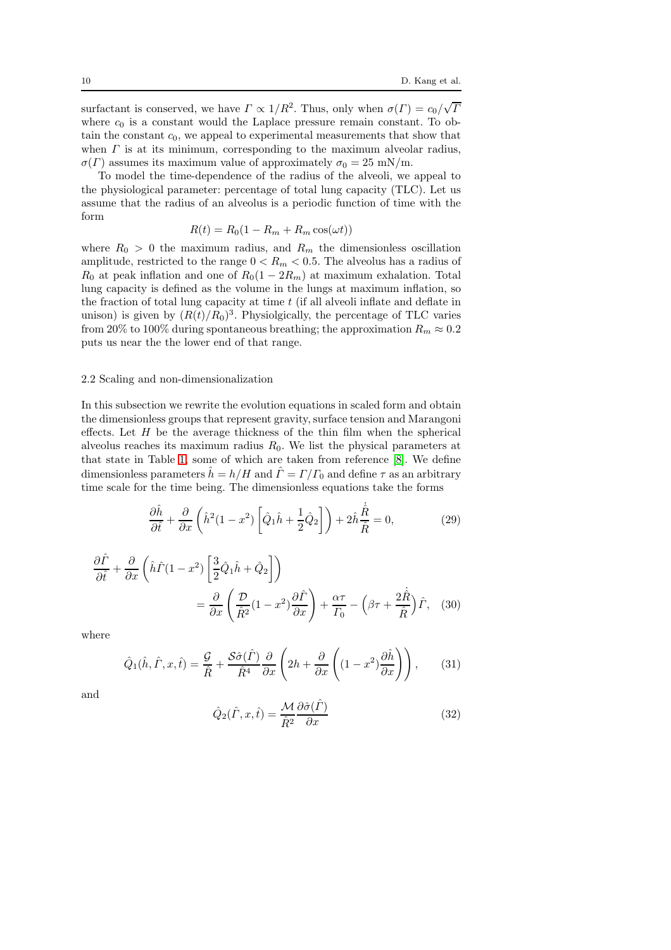surfactant is conserved, we have  $\Gamma \propto 1/R^2$ . Thus, only when  $\sigma(\Gamma) = c_0/\sqrt{I}$ where  $c_0$  is a constant would the Laplace pressure remain constant. To obtain the constant  $c_0$ , we appeal to experimental measurements that show that when  $\Gamma$  is at its minimum, corresponding to the maximum alveolar radius,  $\sigma(\Gamma)$  assumes its maximum value of approximately  $\sigma_0 = 25$  mN/m.

To model the time-dependence of the radius of the alveoli, we appeal to the physiological parameter: percentage of total lung capacity (TLC). Let us assume that the radius of an alveolus is a periodic function of time with the form

$$
R(t) = R_0(1 - R_m + R_m \cos(\omega t))
$$

where  $R_0 > 0$  the maximum radius, and  $R_m$  the dimensionless oscillation amplitude, restricted to the range  $0 < R_m < 0.5$ . The alveolus has a radius of  $R_0$  at peak inflation and one of  $R_0(1 - 2R_m)$  at maximum exhalation. Total lung capacity is defined as the volume in the lungs at maximum inflation, so the fraction of total lung capacity at time  $t$  (if all alveoli inflate and deflate in unison) is given by  $(R(t)/R_0)^3$ . Physiolgically, the percentage of TLC varies from 20% to 100% during spontaneous breathing; the approximation  $R_m \approx 0.2$ puts us near the the lower end of that range.

# 2.2 Scaling and non-dimensionalization

In this subsection we rewrite the evolution equations in scaled form and obtain the dimensionless groups that represent gravity, surface tension and Marangoni effects. Let  $H$  be the average thickness of the thin film when the spherical alveolus reaches its maximum radius  $R_0$ . We list the physical parameters at that state in Table [1,](#page-11-0) some of which are taken from reference [\[8\]](#page-23-21). We define dimensionless parameters  $\hat{h} = h/H$  and  $\hat{\Gamma} = \Gamma/\Gamma_0$  and define  $\tau$  as an arbitrary time scale for the time being. The dimensionless equations take the forms

<span id="page-9-0"></span>
$$
\frac{\partial \hat{h}}{\partial \hat{t}} + \frac{\partial}{\partial x} \left( \hat{h}^2 (1 - x^2) \left[ \hat{Q}_1 \hat{h} + \frac{1}{2} \hat{Q}_2 \right] \right) + 2 \hat{h} \frac{\dot{\hat{R}}}{\hat{R}} = 0, \tag{29}
$$

$$
\frac{\partial \hat{\Gamma}}{\partial \hat{t}} + \frac{\partial}{\partial x} \left( \hat{h}\hat{\Gamma}(1-x^2) \left[ \frac{3}{2} \hat{Q}_1 \hat{h} + \hat{Q}_2 \right] \right) \n= \frac{\partial}{\partial x} \left( \frac{\mathcal{D}}{\hat{R}^2} (1-x^2) \frac{\partial \hat{\Gamma}}{\partial x} \right) + \frac{\alpha \tau}{\Gamma_0} - \left( \beta \tau + \frac{2 \dot{\hat{R}}}{\hat{R}} \right) \hat{\Gamma}, \quad (30)
$$

where

$$
\hat{Q}_1(\hat{h}, \hat{\Gamma}, x, \hat{t}) = \frac{\mathcal{G}}{\hat{R}} + \frac{\mathcal{S}\hat{\sigma}(\hat{\Gamma})}{\hat{R}^4} \frac{\partial}{\partial x} \left(2h + \frac{\partial}{\partial x} \left( (1 - x^2) \frac{\partial \hat{h}}{\partial x} \right) \right), \quad (31)
$$

and

<span id="page-9-1"></span>
$$
\hat{Q}_2(\hat{\Gamma}, x, \hat{t}) = \frac{\mathcal{M}}{\hat{R}^2} \frac{\partial \hat{\sigma}(\hat{\Gamma})}{\partial x}
$$
(32)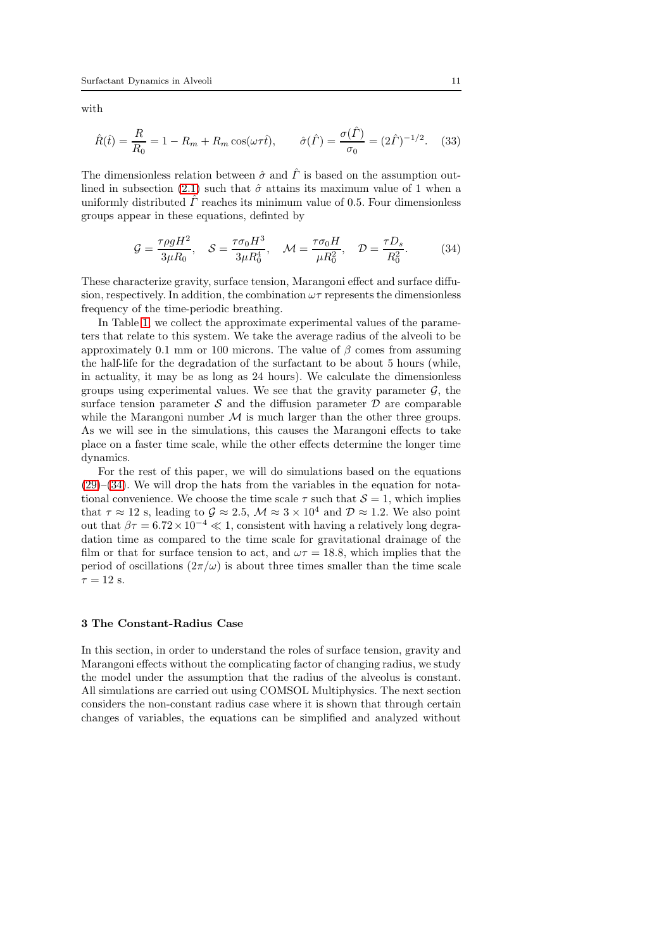with

<span id="page-10-1"></span>
$$
\hat{R}(\hat{t}) = \frac{R}{R_0} = 1 - R_m + R_m \cos(\omega \tau \hat{t}), \qquad \hat{\sigma}(\hat{\Gamma}) = \frac{\sigma(\hat{\Gamma})}{\sigma_0} = (2\hat{\Gamma})^{-1/2}.
$$
 (33)

The dimensionless relation between  $\hat{\sigma}$  and  $\hat{\Gamma}$  is based on the assumption out-lined in subsection [\(2.1\)](#page-8-3) such that  $\hat{\sigma}$  attains its maximum value of 1 when a uniformly distributed  $\Gamma$  reaches its minimum value of 0.5. Four dimensionless groups appear in these equations, definted by

<span id="page-10-0"></span>
$$
\mathcal{G} = \frac{\tau \rho g H^2}{3\mu R_0}, \quad \mathcal{S} = \frac{\tau \sigma_0 H^3}{3\mu R_0^4}, \quad \mathcal{M} = \frac{\tau \sigma_0 H}{\mu R_0^2}, \quad \mathcal{D} = \frac{\tau D_s}{R_0^2}.
$$
 (34)

These characterize gravity, surface tension, Marangoni effect and surface diffusion, respectively. In addition, the combination  $\omega\tau$  represents the dimensionless frequency of the time-periodic breathing.

In Table [1,](#page-11-0) we collect the approximate experimental values of the parameters that relate to this system. We take the average radius of the alveoli to be approximately 0.1 mm or 100 microns. The value of  $\beta$  comes from assuming the half-life for the degradation of the surfactant to be about 5 hours (while, in actuality, it may be as long as 24 hours). We calculate the dimensionless groups using experimental values. We see that the gravity parameter  $\mathcal{G}$ , the surface tension parameter  $S$  and the diffusion parameter  $D$  are comparable while the Marangoni number  $\mathcal M$  is much larger than the other three groups. As we will see in the simulations, this causes the Marangoni effects to take place on a faster time scale, while the other effects determine the longer time dynamics.

For the rest of this paper, we will do simulations based on the equations  $(29)$ – $(34)$ . We will drop the hats from the variables in the equation for notational convenience. We choose the time scale  $\tau$  such that  $\mathcal{S} = 1$ , which implies that  $\tau \approx 12$  s, leading to  $\mathcal{G} \approx 2.5$ ,  $\mathcal{M} \approx 3 \times 10^4$  and  $\mathcal{D} \approx 1.2$ . We also point out that  $\beta \tau = 6.72 \times 10^{-4} \ll 1$ , consistent with having a relatively long degradation time as compared to the time scale for gravitational drainage of the film or that for surface tension to act, and  $\omega \tau = 18.8$ , which implies that the period of oscillations  $(2\pi/\omega)$  is about three times smaller than the time scale  $\tau = 12$  s.

# 3 The Constant-Radius Case

In this section, in order to understand the roles of surface tension, gravity and Marangoni effects without the complicating factor of changing radius, we study the model under the assumption that the radius of the alveolus is constant. All simulations are carried out using COMSOL Multiphysics. The next section considers the non-constant radius case where it is shown that through certain changes of variables, the equations can be simplified and analyzed without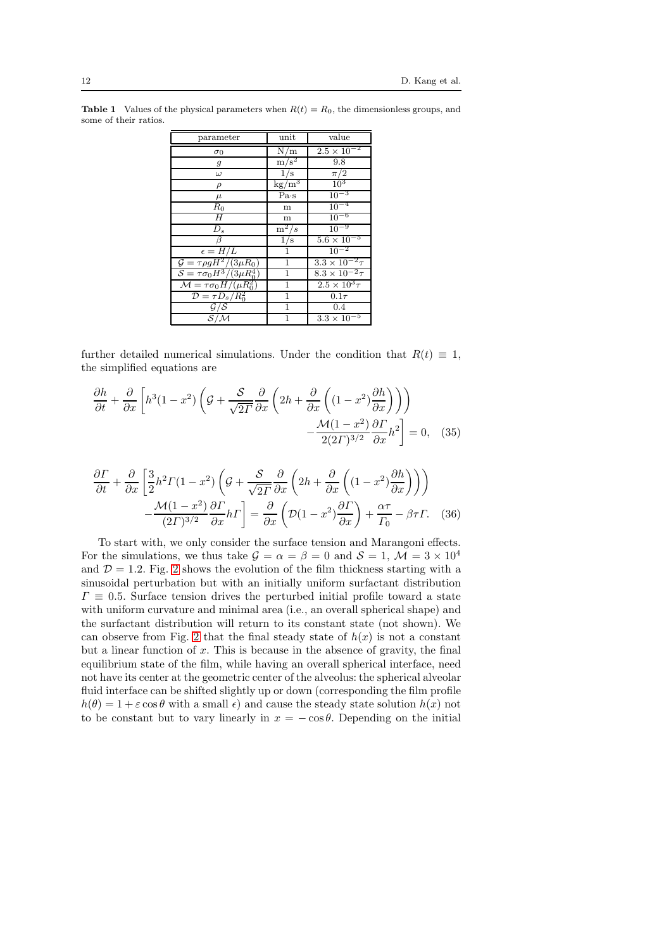| parameter                                     | unit            | value                     |
|-----------------------------------------------|-----------------|---------------------------|
| $\sigma_0$                                    | N/m             | $2.5 \times 10^{-2}$      |
| $\boldsymbol{g}$                              | $\sqrt{m/s^2}$  | 9.8                       |
| $\omega$                                      | 1/s             | $\pi/2$                   |
| $\rho$                                        | $\text{kg/m}^3$ | 10 <sup>3</sup>           |
| $\mu$                                         | Pa·s            | $10^{-3}$                 |
| $R_{0}$                                       | m               | $10^{-4}$                 |
| $\overline{H}$                                | m               | $10^{-6}$                 |
| $D_s$                                         | $m^2/s$         | $10^{-9}$                 |
| ß                                             | 1/s             | $5.6 \times 10^{-5}$      |
| $\epsilon = H/L$                              | 1               | $10^{-2}$                 |
| $\mathcal{G} = \tau \rho g H^2/(3 \mu R_0)$   | 1               | $3.3 \times 10^{-2} \tau$ |
| $S=\tau\sigma_0H^3/(3\mu R_0^4)$              | 1               | $8.3 \times 10^{-2} \tau$ |
| $\mathcal{M} = \tau \sigma_0 H / (\mu R_0^2)$ | $\mathbf{1}$    | $2.5 \times 10^3 \tau$    |
| $\mathcal{D} = \tau D_s / R_0^2$              | $\mathbf{1}$    | $0.1\tau$                 |
| $\mathcal{G}/\mathcal{S}$                     | 1               | 0.4                       |
| ${\cal S}/{\cal M}$                           | 1               | $3.3 \times 10^{-5}$      |

<span id="page-11-0"></span>**Table 1** Values of the physical parameters when  $R(t) = R_0$ , the dimensionless groups, and some of their ratios.

further detailed numerical simulations. Under the condition that  $R(t) \equiv 1$ , the simplified equations are

<span id="page-11-2"></span>
$$
\frac{\partial h}{\partial t} + \frac{\partial}{\partial x} \left[ h^3 (1 - x^2) \left( \mathcal{G} + \frac{\mathcal{S}}{\sqrt{2T}} \frac{\partial}{\partial x} \left( 2h + \frac{\partial}{\partial x} \left( (1 - x^2) \frac{\partial h}{\partial x} \right) \right) \right) - \frac{\mathcal{M}(1 - x^2)}{2(2T)^{3/2}} \frac{\partial F}{\partial x} h^2 \right] = 0, \quad (35)
$$

<span id="page-11-1"></span>
$$
\frac{\partial \Gamma}{\partial t} + \frac{\partial}{\partial x} \left[ \frac{3}{2} h^2 \Gamma (1 - x^2) \left( \mathcal{G} + \frac{\mathcal{S}}{\sqrt{2\Gamma}} \frac{\partial}{\partial x} \left( 2h + \frac{\partial}{\partial x} \left( (1 - x^2) \frac{\partial h}{\partial x} \right) \right) \right) - \frac{\mathcal{M} (1 - x^2)}{(2\Gamma)^{3/2}} \frac{\partial \Gamma}{\partial x} h \Gamma \right] = \frac{\partial}{\partial x} \left( \mathcal{D} (1 - x^2) \frac{\partial \Gamma}{\partial x} \right) + \frac{\alpha \tau}{\Gamma_0} - \beta \tau \Gamma. \tag{36}
$$

To start with, we only consider the surface tension and Marangoni effects. For the simulations, we thus take  $\mathcal{G} = \alpha = \beta = 0$  and  $\mathcal{S} = 1, \mathcal{M} = 3 \times 10^4$ and  $\mathcal{D} = 1.2$ . Fig. [2](#page-12-0) shows the evolution of the film thickness starting with a sinusoidal perturbation but with an initially uniform surfactant distribution  $\Gamma \equiv 0.5$ . Surface tension drives the perturbed initial profile toward a state with uniform curvature and minimal area (i.e., an overall spherical shape) and the surfactant distribution will return to its constant state (not shown). We can observe from Fig. [2](#page-12-0) that the final steady state of  $h(x)$  is not a constant but a linear function of  $x$ . This is because in the absence of gravity, the final equilibrium state of the film, while having an overall spherical interface, need not have its center at the geometric center of the alveolus: the spherical alveolar fluid interface can be shifted slightly up or down (corresponding the film profile  $h(\theta) = 1 + \varepsilon \cos \theta$  with a small  $\epsilon$ ) and cause the steady state solution  $h(x)$  not to be constant but to vary linearly in  $x = -\cos\theta$ . Depending on the initial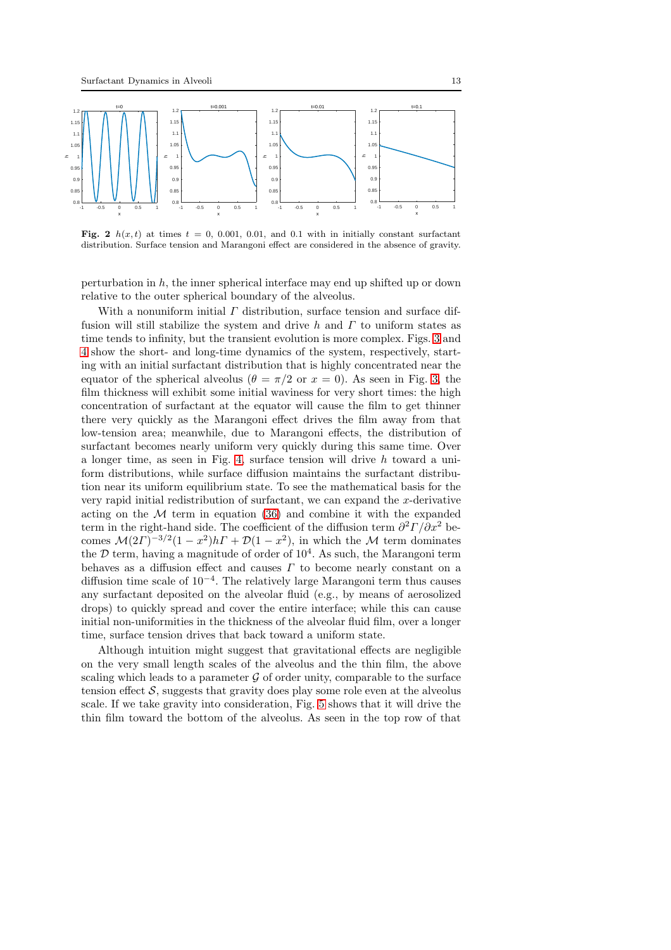

<span id="page-12-0"></span>Fig. 2  $h(x, t)$  at times  $t = 0, 0.001, 0.01,$  and 0.1 with in initially constant surfactant distribution. Surface tension and Marangoni effect are considered in the absence of gravity.

perturbation in  $h$ , the inner spherical interface may end up shifted up or down relative to the outer spherical boundary of the alveolus.

With a nonuniform initial  $\Gamma$  distribution, surface tension and surface diffusion will still stabilize the system and drive h and  $\Gamma$  to uniform states as time tends to infinity, but the transient evolution is more complex. Figs. [3](#page-13-0) and [4](#page-13-1) show the short- and long-time dynamics of the system, respectively, starting with an initial surfactant distribution that is highly concentrated near the equator of the spherical alveolus ( $\theta = \pi/2$  or  $x = 0$ ). As seen in Fig. [3,](#page-13-0) the film thickness will exhibit some initial waviness for very short times: the high concentration of surfactant at the equator will cause the film to get thinner there very quickly as the Marangoni effect drives the film away from that low-tension area; meanwhile, due to Marangoni effects, the distribution of surfactant becomes nearly uniform very quickly during this same time. Over a longer time, as seen in Fig. [4,](#page-13-1) surface tension will drive h toward a uniform distributions, while surface diffusion maintains the surfactant distribution near its uniform equilibrium state. To see the mathematical basis for the very rapid initial redistribution of surfactant, we can expand the  $x$ -derivative acting on the  $M$  term in equation [\(36\)](#page-11-1) and combine it with the expanded term in the right-hand side. The coefficient of the diffusion term  $\partial^2 \Gamma / \partial x^2$  becomes  $\mathcal{M}(2\Gamma)^{-3/2}(1-x^2)h\Gamma + \mathcal{D}(1-x^2)$ , in which the  $\mathcal M$  term dominates the  $D$  term, having a magnitude of order of  $10^4$ . As such, the Marangoni term behaves as a diffusion effect and causes  $\Gamma$  to become nearly constant on a diffusion time scale of 10<sup>−</sup><sup>4</sup> . The relatively large Marangoni term thus causes any surfactant deposited on the alveolar fluid (e.g., by means of aerosolized drops) to quickly spread and cover the entire interface; while this can cause initial non-uniformities in the thickness of the alveolar fluid film, over a longer time, surface tension drives that back toward a uniform state.

Although intuition might suggest that gravitational effects are negligible on the very small length scales of the alveolus and the thin film, the above scaling which leads to a parameter  $\mathcal G$  of order unity, comparable to the surface tension effect  $S$ , suggests that gravity does play some role even at the alveolus scale. If we take gravity into consideration, Fig. [5](#page-14-0) shows that it will drive the thin film toward the bottom of the alveolus. As seen in the top row of that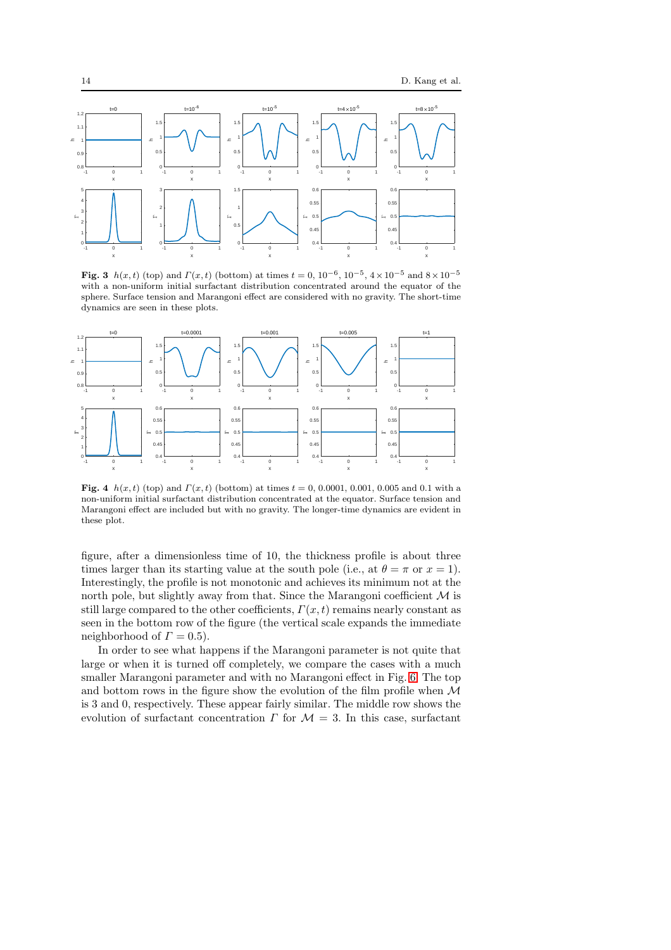

<span id="page-13-0"></span>Fig. 3  $h(x,t)$  (top) and  $\Gamma(x,t)$  (bottom) at times  $t = 0, 10^{-6}, 10^{-5}, 4 \times 10^{-5}$  and  $8 \times 10^{-5}$ with a non-uniform initial surfactant distribution concentrated around the equator of the sphere. Surface tension and Marangoni effect are considered with no gravity. The short-time dynamics are seen in these plots.



<span id="page-13-1"></span>Fig. 4  $h(x, t)$  (top) and  $\Gamma(x, t)$  (bottom) at times  $t = 0, 0.0001, 0.001, 0.005$  and 0.1 with a non-uniform initial surfactant distribution concentrated at the equator. Surface tension and Marangoni effect are included but with no gravity. The longer-time dynamics are evident in these plot.

figure, after a dimensionless time of 10, the thickness profile is about three times larger than its starting value at the south pole (i.e., at  $\theta = \pi$  or  $x = 1$ ). Interestingly, the profile is not monotonic and achieves its minimum not at the north pole, but slightly away from that. Since the Marangoni coefficient  $\mathcal M$  is still large compared to the other coefficients,  $\Gamma(x, t)$  remains nearly constant as seen in the bottom row of the figure (the vertical scale expands the immediate neighborhood of  $\Gamma = 0.5$ ).

In order to see what happens if the Marangoni parameter is not quite that large or when it is turned off completely, we compare the cases with a much smaller Marangoni parameter and with no Marangoni effect in Fig. [6.](#page-15-0) The top and bottom rows in the figure show the evolution of the film profile when  $\mathcal M$ is 3 and 0, respectively. These appear fairly similar. The middle row shows the evolution of surfactant concentration  $\Gamma$  for  $\mathcal{M} = 3$ . In this case, surfactant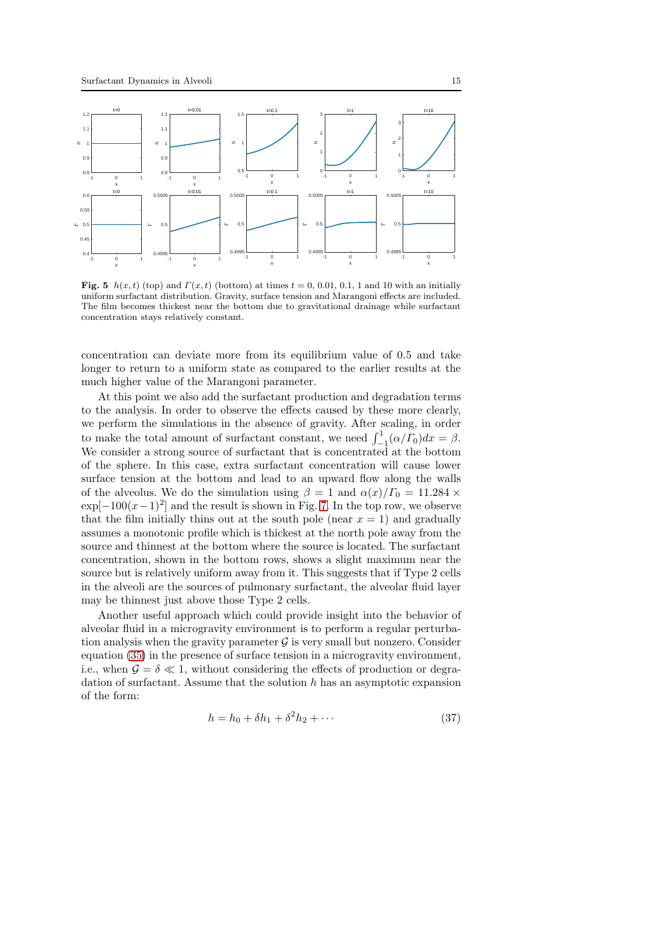

<span id="page-14-0"></span>Fig. 5  $h(x, t)$  (top) and  $\Gamma(x, t)$  (bottom) at times  $t = 0, 0.01, 0.1, 1$  and 10 with an initially uniform surfactant distribution. Gravity, surface tension and Marangoni effects are included. The film becomes thickest near the bottom due to gravitational drainage while surfactant concentration stays relatively constant.

concentration can deviate more from its equilibrium value of 0.5 and take longer to return to a uniform state as compared to the earlier results at the much higher value of the Marangoni parameter.

At this point we also add the surfactant production and degradation terms to the analysis. In order to observe the effects caused by these more clearly, we perform the simulations in the absence of gravity. After scaling, in order to make the total amount of surfactant constant, we need  $\int_{-1}^{1} (\alpha/\overline{F_0}) dx = \beta$ . We consider a strong source of surfactant that is concentrated at the bottom of the sphere. In this case, extra surfactant concentration will cause lower surface tension at the bottom and lead to an upward flow along the walls of the alveolus. We do the simulation using  $\beta = 1$  and  $\alpha(x)/\Gamma_0 = 11.284 \times$  $\exp[-100(x-1)^2]$  and the result is shown in Fig. [7.](#page-15-1) In the top row, we observe that the film initially thins out at the south pole (near  $x = 1$ ) and gradually assumes a monotonic profile which is thickest at the north pole away from the source and thinnest at the bottom where the source is located. The surfactant concentration, shown in the bottom rows, shows a slight maximum near the source but is relatively uniform away from it. This suggests that if Type 2 cells in the alveoli are the sources of pulmonary surfactant, the alveolar fluid layer may be thinnest just above those Type 2 cells.

Another useful approach which could provide insight into the behavior of alveolar fluid in a microgravity environment is to perform a regular perturbation analysis when the gravity parameter  $\mathcal G$  is very small but nonzero. Consider equation [\(35\)](#page-11-2) in the presence of surface tension in a microgravity environment, i.e., when  $\mathcal{G} = \delta \ll 1$ , without considering the effects of production or degradation of surfactant. Assume that the solution  $h$  has an asymptotic expansion of the form:

$$
h = h_0 + \delta h_1 + \delta^2 h_2 + \cdots \tag{37}
$$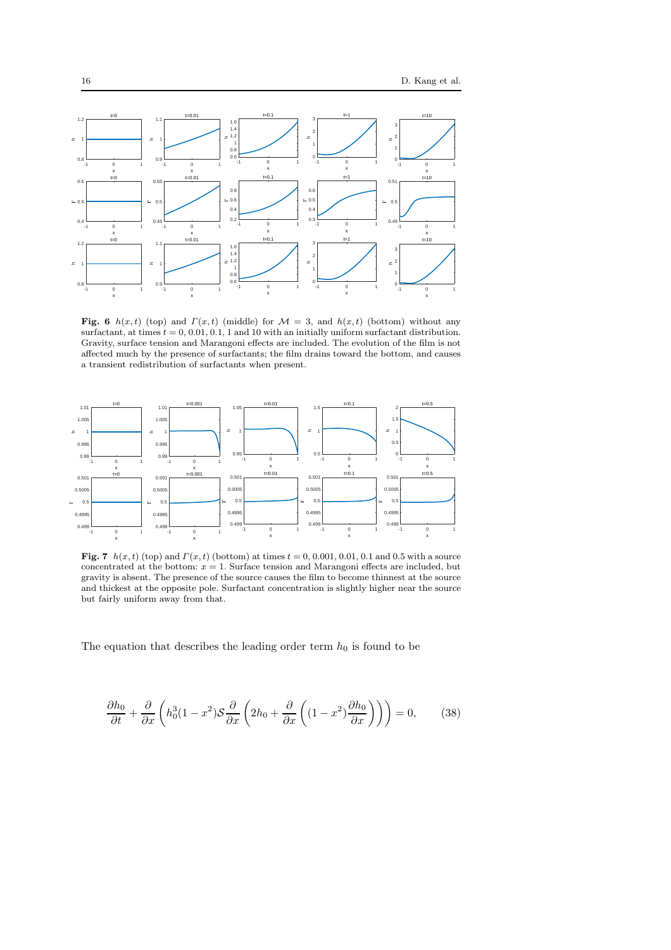

<span id="page-15-0"></span>Fig. 6  $h(x, t)$  (top) and  $\Gamma(x, t)$  (middle) for  $\mathcal{M} = 3$ , and  $h(x, t)$  (bottom) without any surfactant, at times  $t = 0, 0.01, 0.1, 1$  and 10 with an initially uniform surfactant distribution. Gravity, surface tension and Marangoni effects are included. The evolution of the film is not affected much by the presence of surfactants; the film drains toward the bottom, and causes a transient redistribution of surfactants when present.



<span id="page-15-1"></span>**Fig. 7**  $h(x, t)$  (top) and  $\Gamma(x, t)$  (bottom) at times  $t = 0, 0.001, 0.01, 0.1$  and 0.5 with a source concentrated at the bottom:  $x = 1$ . Surface tension and Marangoni effects are included, but gravity is absent. The presence of the source causes the film to become thinnest at the source and thickest at the opposite pole. Surfactant concentration is slightly higher near the source but fairly uniform away from that.

The equation that describes the leading order term  $h_0$  is found to be

$$
\frac{\partial h_0}{\partial t} + \frac{\partial}{\partial x} \left( h_0^3 (1 - x^2) \mathcal{S} \frac{\partial}{\partial x} \left( 2h_0 + \frac{\partial}{\partial x} \left( (1 - x^2) \frac{\partial h_0}{\partial x} \right) \right) \right) = 0, \quad (38)
$$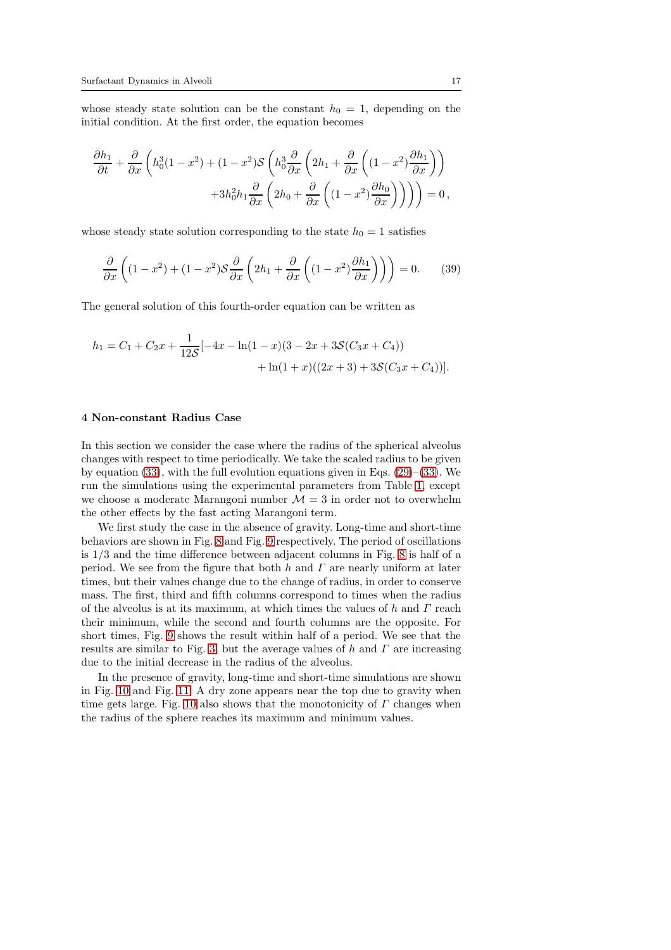whose steady state solution can be the constant  $h_0 = 1$ , depending on the initial condition. At the first order, the equation becomes

$$
\frac{\partial h_1}{\partial t} + \frac{\partial}{\partial x} \left( h_0^3 (1 - x^2) + (1 - x^2) \mathcal{S} \left( h_0^3 \frac{\partial}{\partial x} \left( 2h_1 + \frac{\partial}{\partial x} \left( (1 - x^2) \frac{\partial h_1}{\partial x} \right) \right) + 3h_0^2 h_1 \frac{\partial}{\partial x} \left( 2h_0 + \frac{\partial}{\partial x} \left( (1 - x^2) \frac{\partial h_0}{\partial x} \right) \right) \right) \right) = 0,
$$

whose steady state solution corresponding to the state  $h_0 = 1$  satisfies

$$
\frac{\partial}{\partial x}\left((1-x^2) + (1-x^2)\mathcal{S}\frac{\partial}{\partial x}\left(2h_1 + \frac{\partial}{\partial x}\left((1-x^2)\frac{\partial h_1}{\partial x}\right)\right)\right) = 0.\tag{39}
$$

The general solution of this fourth-order equation can be written as

$$
h_1 = C_1 + C_2 x + \frac{1}{12S}[-4x - \ln(1-x)(3-2x+3S(C_3 x + C_4))
$$
  
+ 
$$
\ln(1+x)((2x+3)+3S(C_3 x + C_4))].
$$

# 4 Non-constant Radius Case

In this section we consider the case where the radius of the spherical alveolus changes with respect to time periodically. We take the scaled radius to be given by equation [\(33\)](#page-10-1), with the full evolution equations given in Eqs.  $(29)$ –[\(33\)](#page-10-1). We run the simulations using the experimental parameters from Table [1,](#page-11-0) except we choose a moderate Marangoni number  $\mathcal{M} = 3$  in order not to overwhelm the other effects by the fast acting Marangoni term.

We first study the case in the absence of gravity. Long-time and short-time behaviors are shown in Fig. [8](#page-17-0) and Fig. [9](#page-17-1) respectively. The period of oscillations is 1/3 and the time difference between adjacent columns in Fig. [8](#page-17-0) is half of a period. We see from the figure that both  $h$  and  $\Gamma$  are nearly uniform at later times, but their values change due to the change of radius, in order to conserve mass. The first, third and fifth columns correspond to times when the radius of the alveolus is at its maximum, at which times the values of  $h$  and  $\Gamma$  reach their minimum, while the second and fourth columns are the opposite. For short times, Fig. [9](#page-17-1) shows the result within half of a period. We see that the results are similar to Fig. [3,](#page-13-0) but the average values of  $h$  and  $\Gamma$  are increasing due to the initial decrease in the radius of the alveolus.

In the presence of gravity, long-time and short-time simulations are shown in Fig. [10](#page-18-0) and Fig. [11.](#page-18-1) A dry zone appears near the top due to gravity when time gets large. Fig. [10](#page-18-0) also shows that the monotonicity of  $\Gamma$  changes when the radius of the sphere reaches its maximum and minimum values.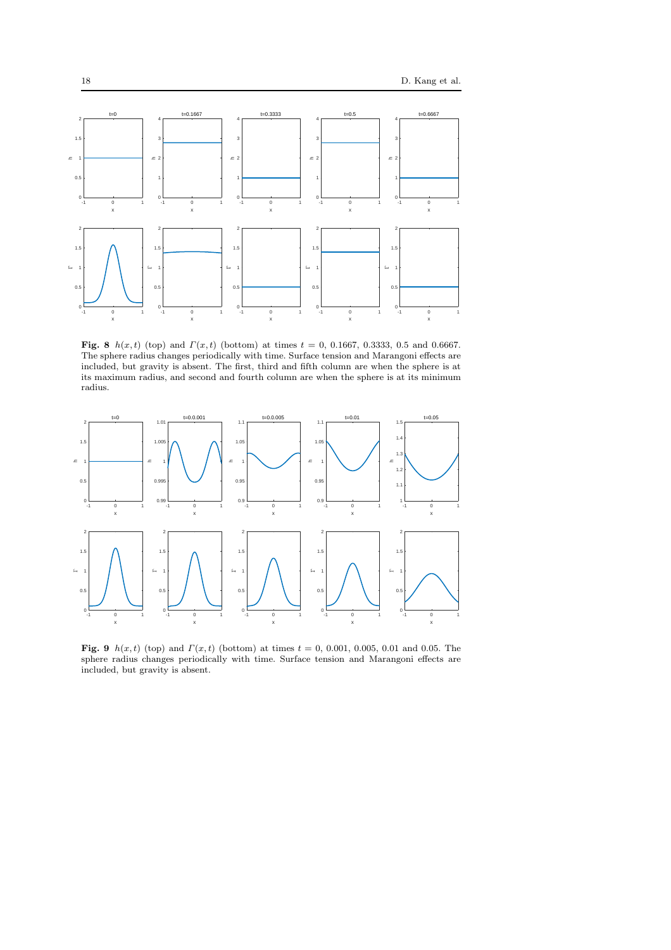

<span id="page-17-0"></span>Fig. 8  $h(x, t)$  (top) and  $\Gamma(x, t)$  (bottom) at times  $t = 0, 0.1667, 0.3333, 0.5$  and 0.6667. The sphere radius changes periodically with time. Surface tension and Marangoni effects are included, but gravity is absent. The first, third and fifth column are when the sphere is at its maximum radius, and second and fourth column are when the sphere is at its minimum radius.



<span id="page-17-1"></span>Fig. 9  $h(x, t)$  (top) and  $\Gamma(x, t)$  (bottom) at times  $t = 0, 0.001, 0.005, 0.01$  and 0.05. The sphere radius changes periodically with time. Surface tension and Marangoni effects are included, but gravity is absent.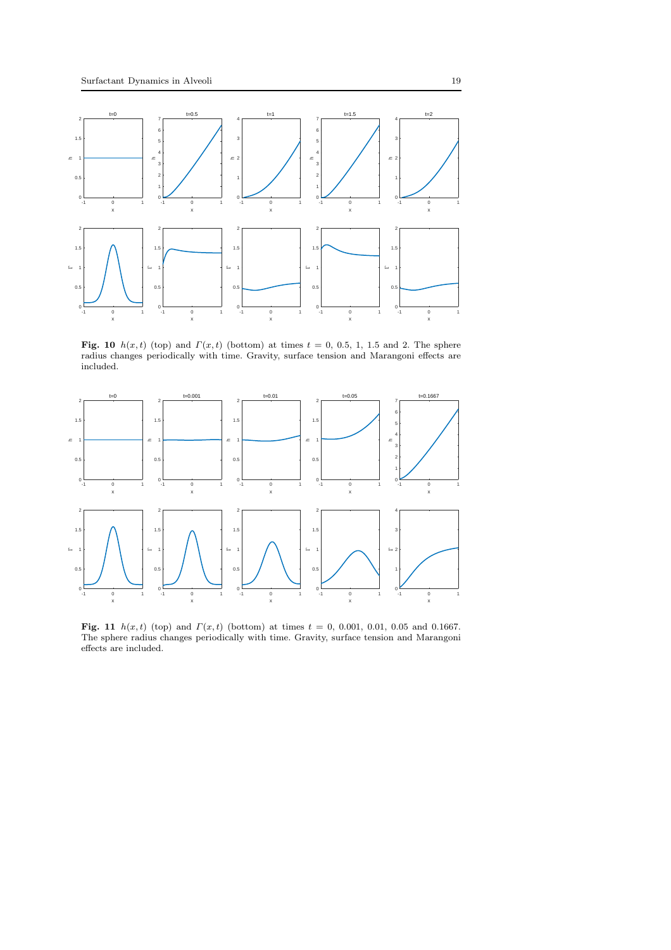

<span id="page-18-0"></span>Fig. 10  $h(x, t)$  (top) and  $\Gamma(x, t)$  (bottom) at times  $t = 0, 0.5, 1, 1.5$  and 2. The sphere radius changes periodically with time. Gravity, surface tension and Marangoni effects are included.



<span id="page-18-1"></span>**Fig. 11**  $h(x, t)$  (top) and  $\Gamma(x, t)$  (bottom) at times  $t = 0, 0.001, 0.01, 0.05$  and 0.1667. The sphere radius changes periodically with time. Gravity, surface tension and Marangoni effects are included.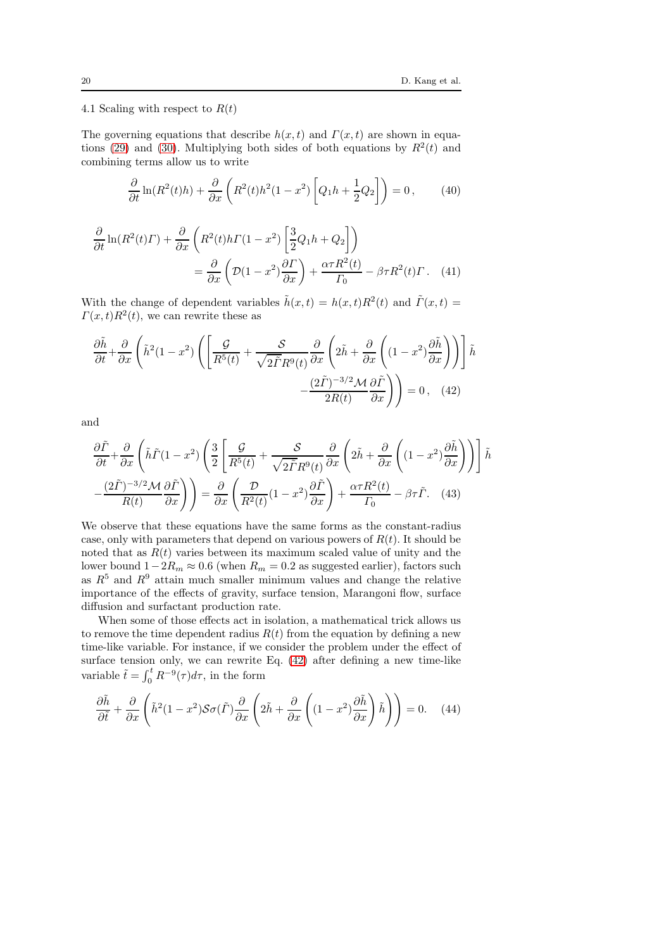4.1 Scaling with respect to  $R(t)$ 

The governing equations that describe  $h(x, t)$  and  $\Gamma(x, t)$  are shown in equa-tions [\(29\)](#page-9-0) and [\(30\)](#page-9-1). Multiplying both sides of both equations by  $R^2(t)$  and combining terms allow us to write

$$
\frac{\partial}{\partial t}\ln(R^2(t)h) + \frac{\partial}{\partial x}\left(R^2(t)h^2(1-x^2)\left[Q_1h + \frac{1}{2}Q_2\right]\right) = 0,\tag{40}
$$

$$
\frac{\partial}{\partial t} \ln(R^2(t)\Gamma) + \frac{\partial}{\partial x} \left( R^2(t)h\Gamma(1-x^2) \left[ \frac{3}{2}Q_1h + Q_2 \right] \right)
$$

$$
= \frac{\partial}{\partial x} \left( \mathcal{D}(1-x^2) \frac{\partial \Gamma}{\partial x} \right) + \frac{\alpha \tau R^2(t)}{\Gamma_0} - \beta \tau R^2(t)\Gamma. \quad (41)
$$

With the change of dependent variables  $\tilde{h}(x,t) = h(x,t)R^2(t)$  and  $\tilde{\Gamma}(x,t) =$  $\Gamma(x,t)R^2(t)$ , we can rewrite these as

<span id="page-19-0"></span>
$$
\frac{\partial \tilde{h}}{\partial t} + \frac{\partial}{\partial x} \left( \tilde{h}^2 (1 - x^2) \left( \left[ \frac{\mathcal{G}}{R^5(t)} + \frac{\mathcal{S}}{\sqrt{2\tilde{\Gamma}} R^9(t)} \frac{\partial}{\partial x} \left( 2\tilde{h} + \frac{\partial}{\partial x} \left( (1 - x^2) \frac{\partial \tilde{h}}{\partial x} \right) \right) \right] \tilde{h} \right)
$$

$$
- \frac{(2\tilde{\Gamma})^{-3/2} \mathcal{M}}{2R(t)} \frac{\partial \tilde{\Gamma}}{\partial x} \right) = 0 \,, \quad (42)
$$

and

$$
\frac{\partial \tilde{\Gamma}}{\partial t} + \frac{\partial}{\partial x} \left( \tilde{h}\tilde{\Gamma}(1-x^2) \left( \frac{3}{2} \left[ \frac{\mathcal{G}}{R^5(t)} + \frac{\mathcal{S}}{\sqrt{2\tilde{\Gamma}}R^9(t)} \frac{\partial}{\partial x} \left( 2\tilde{h} + \frac{\partial}{\partial x} \left( (1-x^2) \frac{\partial \tilde{h}}{\partial x} \right) \right) \right] \tilde{h}
$$

$$
-\frac{(2\tilde{\Gamma})^{-3/2} \mathcal{M}}{R(t)} \frac{\partial \tilde{\Gamma}}{\partial x} \right) = \frac{\partial}{\partial x} \left( \frac{\mathcal{D}}{R^2(t)} (1-x^2) \frac{\partial \tilde{\Gamma}}{\partial x} \right) + \frac{\alpha \tau R^2(t)}{\Gamma_0} - \beta \tau \tilde{\Gamma}. \quad (43)
$$

We observe that these equations have the same forms as the constant-radius case, only with parameters that depend on various powers of  $R(t)$ . It should be noted that as  $R(t)$  varies between its maximum scaled value of unity and the lower bound  $1-2R_m \approx 0.6$  (when  $R_m = 0.2$  as suggested earlier), factors such as  $R^5$  and  $R^9$  attain much smaller minimum values and change the relative importance of the effects of gravity, surface tension, Marangoni flow, surface diffusion and surfactant production rate.

When some of those effects act in isolation, a mathematical trick allows us to remove the time dependent radius  $R(t)$  from the equation by defining a new time-like variable. For instance, if we consider the problem under the effect of surface tension only, we can rewrite Eq. [\(42\)](#page-19-0) after defining a new time-like variable  $\tilde{t} = \int_0^t R^{-9}(\tau) d\tau$ , in the form

$$
\frac{\partial \tilde{h}}{\partial \tilde{t}} + \frac{\partial}{\partial x} \left( \tilde{h}^2 (1 - x^2) \mathcal{S} \sigma(\tilde{\Gamma}) \frac{\partial}{\partial x} \left( 2\tilde{h} + \frac{\partial}{\partial x} \left( (1 - x^2) \frac{\partial \tilde{h}}{\partial x} \right) \tilde{h} \right) \right) = 0. \quad (44)
$$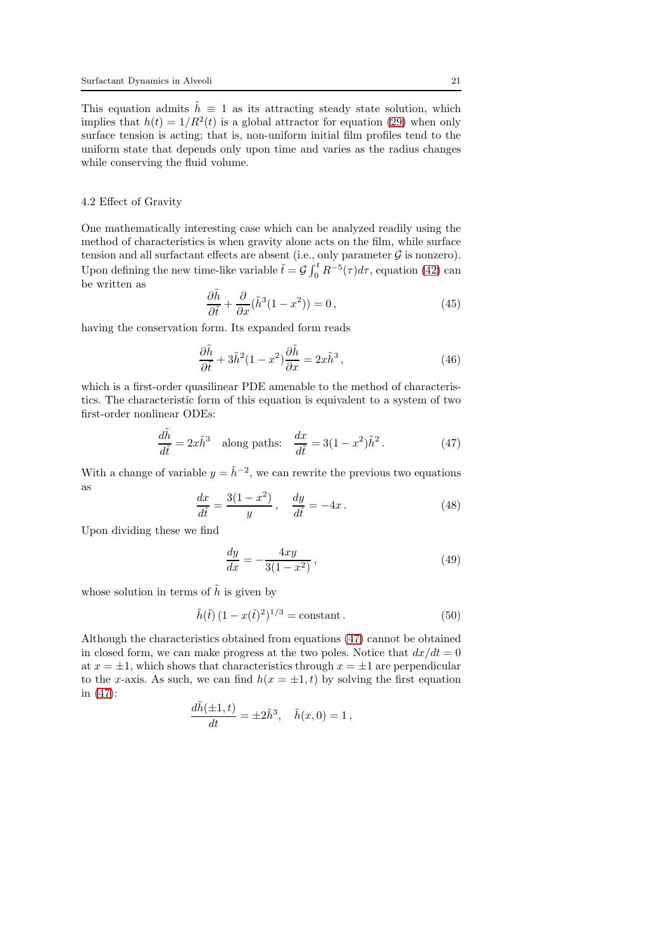This equation admits  $\tilde{h} \equiv 1$  as its attracting steady state solution, which implies that  $h(t) = 1/R^2(t)$  is a global attractor for equation [\(29\)](#page-9-0) when only surface tension is acting; that is, non-uniform initial film profiles tend to the uniform state that depends only upon time and varies as the radius changes while conserving the fluid volume.

# 4.2 Effect of Gravity

One mathematically interesting case which can be analyzed readily using the method of characteristics is when gravity alone acts on the film, while surface tension and all surfactant effects are absent (i.e., only parameter  $\mathcal G$  is nonzero). Upon defining the new time-like variable  $\tilde{t} = \mathcal{G} \int_0^t R^{-5}(\tau) d\tau$ , equation [\(42\)](#page-19-0) can be written as

$$
\frac{\partial \tilde{h}}{\partial \tilde{t}} + \frac{\partial}{\partial x} (\tilde{h}^3 (1 - x^2)) = 0, \qquad (45)
$$

having the conservation form. Its expanded form reads

$$
\frac{\partial \tilde{h}}{\partial \tilde{t}} + 3\tilde{h}^2 (1 - x^2) \frac{\partial \tilde{h}}{\partial x} = 2x \tilde{h}^3 ,\qquad (46)
$$

which is a first-order quasilinear PDE amenable to the method of characteristics. The characteristic form of this equation is equivalent to a system of two first-order nonlinear ODEs:

<span id="page-20-0"></span>
$$
\frac{d\tilde{h}}{d\tilde{t}} = 2x\tilde{h}^3 \quad \text{along paths:} \quad \frac{dx}{d\tilde{t}} = 3(1-x^2)\tilde{h}^2. \tag{47}
$$

With a change of variable  $y = \tilde{h}^{-2}$ , we can rewrite the previous two equations as

$$
\frac{dx}{d\tilde{t}} = \frac{3(1-x^2)}{y}, \quad \frac{dy}{d\tilde{t}} = -4x. \tag{48}
$$

Upon dividing these we find

$$
\frac{dy}{dx} = -\frac{4xy}{3(1-x^2)}\,,\tag{49}
$$

whose solution in terms of  $\tilde{h}$  is given by

<span id="page-20-1"></span>
$$
\tilde{h}(\tilde{t}) (1 - x(\tilde{t})^2)^{1/3} = \text{constant}.
$$
 (50)

Although the characteristics obtained from equations [\(47\)](#page-20-0) cannot be obtained in closed form, we can make progress at the two poles. Notice that  $dx/dt = 0$ at  $x = \pm 1$ , which shows that characteristics through  $x = \pm 1$  are perpendicular to the x-axis. As such, we can find  $h(x = \pm 1, t)$  by solving the first equation in [\(47\)](#page-20-0):

$$
\frac{d\tilde{h}(\pm 1,t)}{dt} = \pm 2\tilde{h}^3, \quad \tilde{h}(x,0) = 1,
$$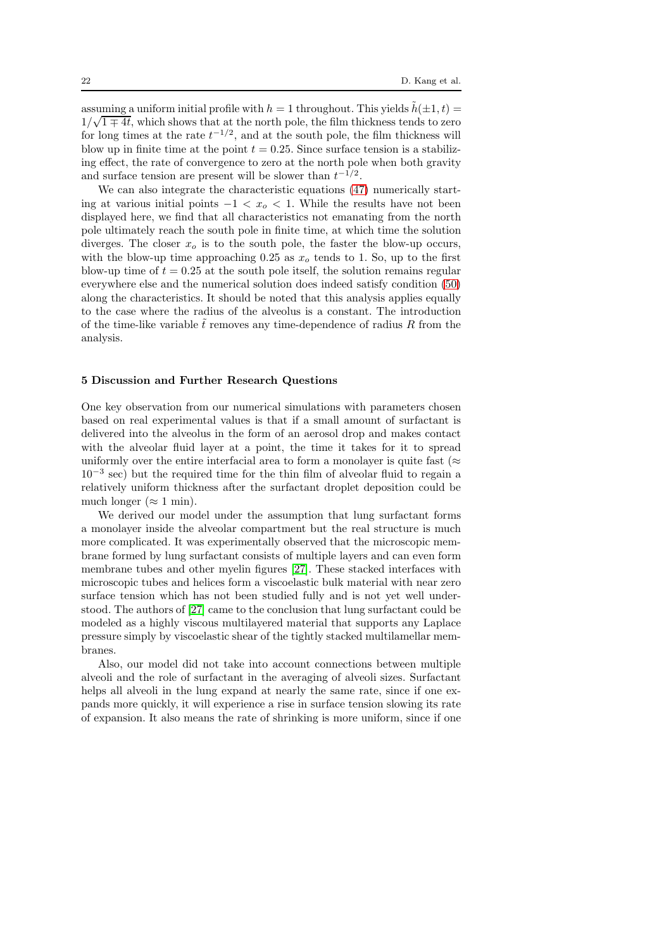assuming a uniform initial profile with  $h = 1$  throughout. This yields  $\tilde{h}(\pm 1, t) =$  $\frac{1}{\sqrt{1 \mp 4t}}$ , which shows that at the north pole, the film thickness tends to zero for long times at the rate  $t^{-1/2}$ , and at the south pole, the film thickness will blow up in finite time at the point  $t = 0.25$ . Since surface tension is a stabilizing effect, the rate of convergence to zero at the north pole when both gravity and surface tension are present will be slower than  $t^{-1/2}$ .

We can also integrate the characteristic equations  $(47)$  numerically starting at various initial points  $-1 < x_0 < 1$ . While the results have not been displayed here, we find that all characteristics not emanating from the north pole ultimately reach the south pole in finite time, at which time the solution diverges. The closer  $x<sub>o</sub>$  is to the south pole, the faster the blow-up occurs, with the blow-up time approaching 0.25 as  $x<sub>o</sub>$  tends to 1. So, up to the first blow-up time of  $t = 0.25$  at the south pole itself, the solution remains regular everywhere else and the numerical solution does indeed satisfy condition [\(50\)](#page-20-1) along the characteristics. It should be noted that this analysis applies equally to the case where the radius of the alveolus is a constant. The introduction of the time-like variable  $\tilde{t}$  removes any time-dependence of radius R from the analysis.

# 5 Discussion and Further Research Questions

One key observation from our numerical simulations with parameters chosen based on real experimental values is that if a small amount of surfactant is delivered into the alveolus in the form of an aerosol drop and makes contact with the alveolar fluid layer at a point, the time it takes for it to spread uniformly over the entire interfacial area to form a monolayer is quite fast ( $\approx$ 10<sup>−</sup><sup>3</sup> sec) but the required time for the thin film of alveolar fluid to regain a relatively uniform thickness after the surfactant droplet deposition could be much longer ( $\approx 1$  min).

We derived our model under the assumption that lung surfactant forms a monolayer inside the alveolar compartment but the real structure is much more complicated. It was experimentally observed that the microscopic membrane formed by lung surfactant consists of multiple layers and can even form membrane tubes and other myelin figures [\[27\]](#page-23-22). These stacked interfaces with microscopic tubes and helices form a viscoelastic bulk material with near zero surface tension which has not been studied fully and is not yet well understood. The authors of [\[27\]](#page-23-22) came to the conclusion that lung surfactant could be modeled as a highly viscous multilayered material that supports any Laplace pressure simply by viscoelastic shear of the tightly stacked multilamellar membranes.

Also, our model did not take into account connections between multiple alveoli and the role of surfactant in the averaging of alveoli sizes. Surfactant helps all alveoli in the lung expand at nearly the same rate, since if one expands more quickly, it will experience a rise in surface tension slowing its rate of expansion. It also means the rate of shrinking is more uniform, since if one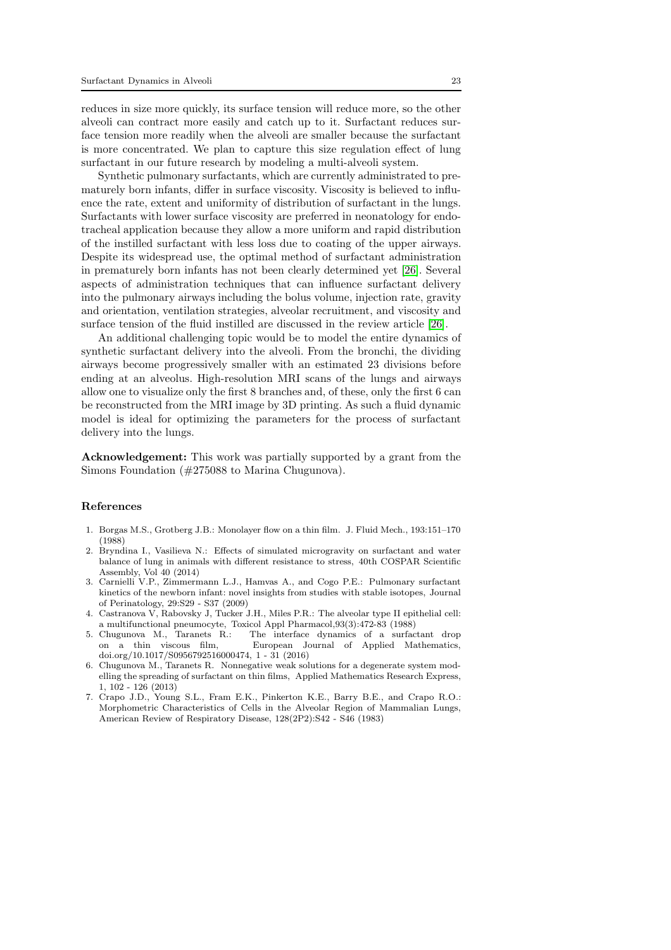reduces in size more quickly, its surface tension will reduce more, so the other alveoli can contract more easily and catch up to it. Surfactant reduces surface tension more readily when the alveoli are smaller because the surfactant is more concentrated. We plan to capture this size regulation effect of lung surfactant in our future research by modeling a multi-alveoli system.

Synthetic pulmonary surfactants, which are currently administrated to prematurely born infants, differ in surface viscosity. Viscosity is believed to influence the rate, extent and uniformity of distribution of surfactant in the lungs. Surfactants with lower surface viscosity are preferred in neonatology for endotracheal application because they allow a more uniform and rapid distribution of the instilled surfactant with less loss due to coating of the upper airways. Despite its widespread use, the optimal method of surfactant administration in prematurely born infants has not been clearly determined yet [\[26\]](#page-23-23). Several aspects of administration techniques that can influence surfactant delivery into the pulmonary airways including the bolus volume, injection rate, gravity and orientation, ventilation strategies, alveolar recruitment, and viscosity and surface tension of the fluid instilled are discussed in the review article [\[26\]](#page-23-23).

An additional challenging topic would be to model the entire dynamics of synthetic surfactant delivery into the alveoli. From the bronchi, the dividing airways become progressively smaller with an estimated 23 divisions before ending at an alveolus. High-resolution MRI scans of the lungs and airways allow one to visualize only the first 8 branches and, of these, only the first 6 can be reconstructed from the MRI image by 3D printing. As such a fluid dynamic model is ideal for optimizing the parameters for the process of surfactant delivery into the lungs.

Acknowledgement: This work was partially supported by a grant from the Simons Foundation (#275088 to Marina Chugunova).

### References

- <span id="page-22-6"></span>1. Borgas M.S., Grotberg J.B.: Monolayer flow on a thin film. J. Fluid Mech., 193:151–170 (1988)
- <span id="page-22-0"></span>2. Bryndina I., Vasilieva N.: Effects of simulated microgravity on surfactant and water balance of lung in animals with different resistance to stress, 40th COSPAR Scientific Assembly, Vol 40 (2014)
- <span id="page-22-2"></span>3. Carnielli V.P., Zimmermann L.J., Hamvas A., and Cogo P.E.: Pulmonary surfactant kinetics of the newborn infant: novel insights from studies with stable isotopes, Journal of Perinatology, 29:S29 - S37 (2009)
- <span id="page-22-3"></span>4. Castranova V, Rabovsky J, Tucker J.H., Miles P.R.: The alveolar type II epithelial cell: a multifunctional pneumocyte, Toxicol Appl Pharmacol,93(3):472-83 (1988)
- <span id="page-22-4"></span>The interface dynamics of a surfactant drop on a thin viscous film, European Journal of Applied Mathematics, doi.org/10.1017/S0956792516000474, 1 - 31 (2016)
- <span id="page-22-5"></span>6. Chugunova M., Taranets R. Nonnegative weak solutions for a degenerate system modelling the spreading of surfactant on thin films, Applied Mathematics Research Express, 1, 102 - 126 (2013)
- <span id="page-22-1"></span>7. Crapo J.D., Young S.L., Fram E.K., Pinkerton K.E., Barry B.E., and Crapo R.O.: Morphometric Characteristics of Cells in the Alveolar Region of Mammalian Lungs, American Review of Respiratory Disease, 128(2P2):S42 - S46 (1983)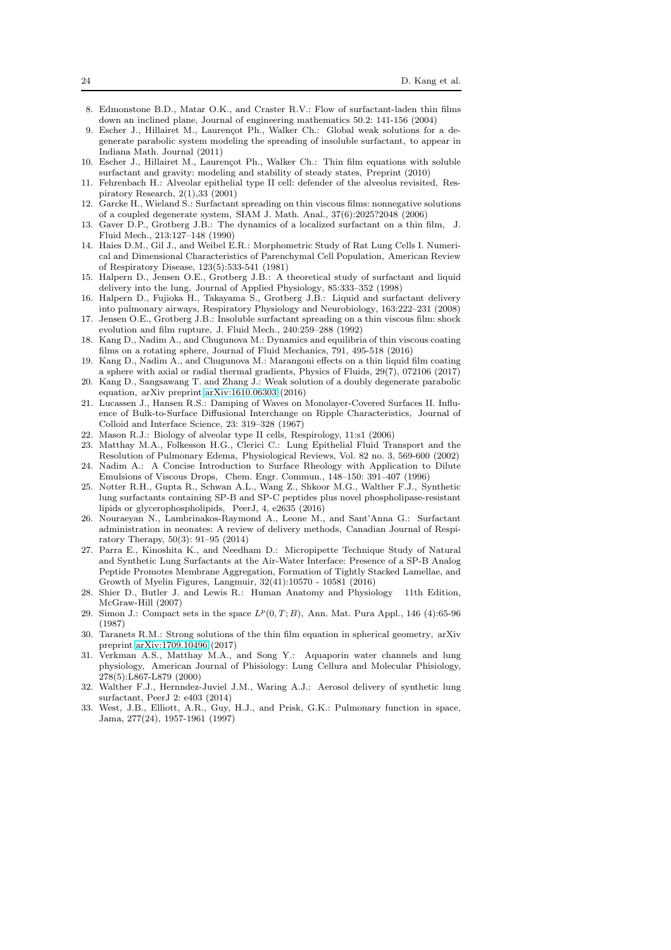- <span id="page-23-21"></span>8. Edmonstone B.D., Matar O.K., and Craster R.V.: Flow of surfactant-laden thin films down an inclined plane, Journal of engineering mathematics 50.2: 141-156 (2004)
- <span id="page-23-14"></span>9. Escher J., Hillairet M., Laurençot Ph., Walker Ch.: Global weak solutions for a degenerate parabolic system modeling the spreading of insoluble surfactant, to appear in Indiana Math. Journal (2011)
- <span id="page-23-15"></span>10. Escher J., Hillairet M., Laurençot Ph., Walker Ch.: Thin film equations with soluble surfactant and gravity: modeling and stability of steady states, Preprint (2010)
- <span id="page-23-6"></span>11. Fehrenbach H.: Alveolar epithelial type II cell: defender of the alveolus revisited, Respiratory Research, 2(1),33 (2001)
- <span id="page-23-16"></span>12. Garcke H., Wieland S.: Surfactant spreading on thin viscous films: nonnegative solutions of a coupled degenerate system, SIAM J. Math. Anal., 37(6):2025?2048 (2006)
- <span id="page-23-13"></span>13. Gaver D.P., Grotberg J.B.: The dynamics of a localized surfactant on a thin film, J. Fluid Mech., 213:127–148 (1990)
- <span id="page-23-4"></span>14. Haies D.M., Gil J., and Weibel E.R.: Morphometric Study of Rat Lung Cells I. Numerical and Dimensional Characteristics of Parenchymal Cell Population, American Review of Respiratory Disease, 123(5):533-541 (1981)
- <span id="page-23-8"></span>15. Halpern D., Jensen O.E., Grotberg J.B.: A theoretical study of surfactant and liquid delivery into the lung, Journal of Applied Physiology, 85:333–352 (1998)
- <span id="page-23-12"></span><span id="page-23-9"></span>16. Halpern D., Fujioka H., Takayama S., Grotberg J.B.: Liquid and surfactant delivery into pulmonary airways, Respiratory Physiology and Neurobiology, 163:222–231 (2008) 17. Jensen O.E., Grotberg J.B.: Insoluble surfactant spreading on a thin viscous film: shock
- <span id="page-23-18"></span>evolution and film rupture, J. Fluid Mech., 240:259–288 (1992) 18. Kang D., Nadim A., and Chugunova M.: Dynamics and equilibria of thin viscous coating
- <span id="page-23-19"></span>films on a rotating sphere, Journal of Fluid Mechanics, 791, 495-518 (2016) 19. Kang D., Nadim A., and Chugunova M.: Marangoni effects on a thin liquid film coating
- <span id="page-23-11"></span>a sphere with axial or radial thermal gradients, Physics of Fluids, 29(7), 072106 (2017)
- 20. Kang D., Sangsawang T. and Zhang J.: Weak solution of a doubly degenerate parabolic equation, arXiv preprint [arXiv:1610.06303](http://arxiv.org/abs/1610.06303) (2016)
- <span id="page-23-17"></span>21. Lucassen J., Hansen R.S.: Damping of Waves on Monolayer-Covered Surfaces II. Influence of Bulk-to-Surface Diffusional Interchange on Ripple Characteristics, Journal of Colloid and Interface Science, 23: 319–328 (1967)
- <span id="page-23-1"></span>22. Mason R.J.: Biology of alveolar type II cells, Respirology, 11:s1 (2006)
- 23. Matthay M.A., Folkesson H.G., Clerici C.: Lung Epithelial Fluid Transport and the Resolution of Pulmonary Edema, Physiological Reviews, Vol. 82 no. 3, 569-600 (2002)
- <span id="page-23-20"></span>24. Nadim A.: A Concise Introduction to Surface Rheology with Application to Dilute Emulsions of Viscous Drops, Chem. Engr. Commun., 148–150: 391–407 (1996)
- <span id="page-23-5"></span>25. Notter R.H., Gupta R., Schwan A.L., Wang Z., Shkoor M.G., Walther F.J., Synthetic lung surfactants containing SP-B and SP-C peptides plus novel phospholipase-resistant lipids or glycerophospholipids, PeerJ, 4, e2635 (2016)
- <span id="page-23-23"></span>26. Nouraeyan N., Lambrinakos-Raymond A., Leone M., and Sant'Anna G.: Surfactant administration in neonates: A review of delivery methods, Canadian Journal of Respiratory Therapy, 50(3): 91–95 (2014)
- <span id="page-23-22"></span>27. Parra E., Kinoshita K., and Needham D.: Micropipette Technique Study of Natural and Synthetic Lung Surfactants at the Air-Water Interface: Presence of a SP-B Analog Peptide Promotes Membrane Aggregation, Formation of Tightly Stacked Lamellae, and Growth of Myelin Figures, Langmuir, 32(41):10570 - 10581 (2016)
- <span id="page-23-0"></span>28. Shier D., Butler J. and Lewis R.: Human Anatomy and Physiology 11th Edition, McGraw-Hill (2007)
- 29. Simon J.: Compact sets in the space  $L^p(0,T;B)$ , Ann. Mat. Pura Appl., 146 (4):65-96 (1987)
- <span id="page-23-10"></span>30. Taranets R.M.: Strong solutions of the thin film equation in spherical geometry, arXiv preprint [arXiv:1709.10496](http://arxiv.org/abs/1709.10496) (2017)
- <span id="page-23-3"></span>31. Verkman A.S., Matthay M.A., and Song Y.: Aquaporin water channels and lung physiology, American Journal of Phisiology: Lung Cellura and Molecular Phisiology, 278(5):L867-L879 (2000)
- <span id="page-23-7"></span>32. Walther F.J., Hernndez-Juviel J.M., Waring A.J.: Aerosol delivery of synthetic lung surfactant, PeerJ 2: e403 (2014)
- <span id="page-23-2"></span>33. West, J.B., Elliott, A.R., Guy, H.J., and Prisk, G.K.: Pulmonary function in space, Jama, 277(24), 1957-1961 (1997)